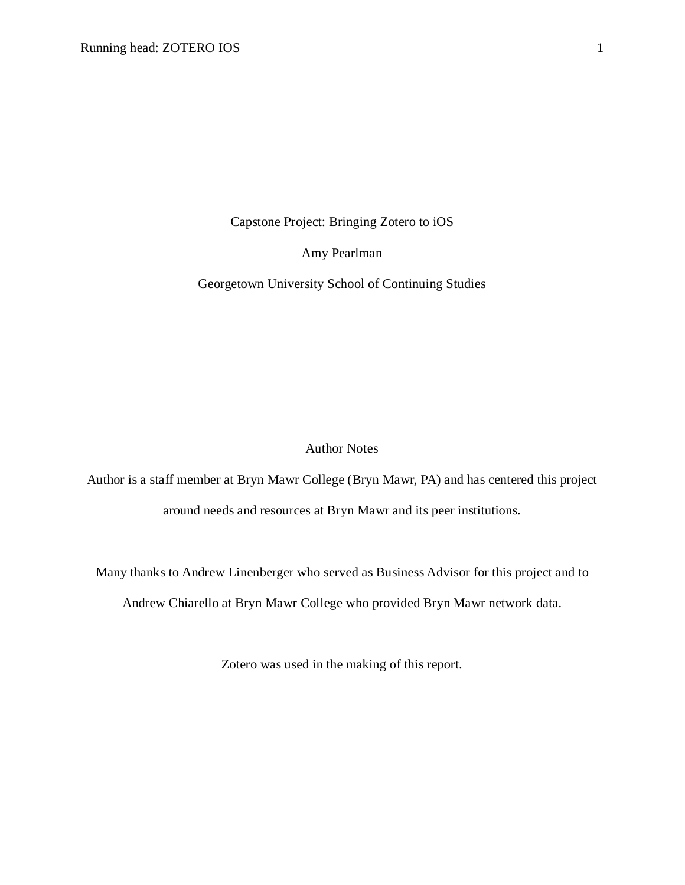Capstone Project: Bringing Zotero to iOS

Amy Pearlman

Georgetown University School of Continuing Studies

# Author Notes

Author is a staff member at Bryn Mawr College (Bryn Mawr, PA) and has centered this project around needs and resources at Bryn Mawr and its peer institutions.

Many thanks to Andrew Linenberger who served as Business Advisor for this project and to

Andrew Chiarello at Bryn Mawr College who provided Bryn Mawr network data.

Zotero was used in the making of this report.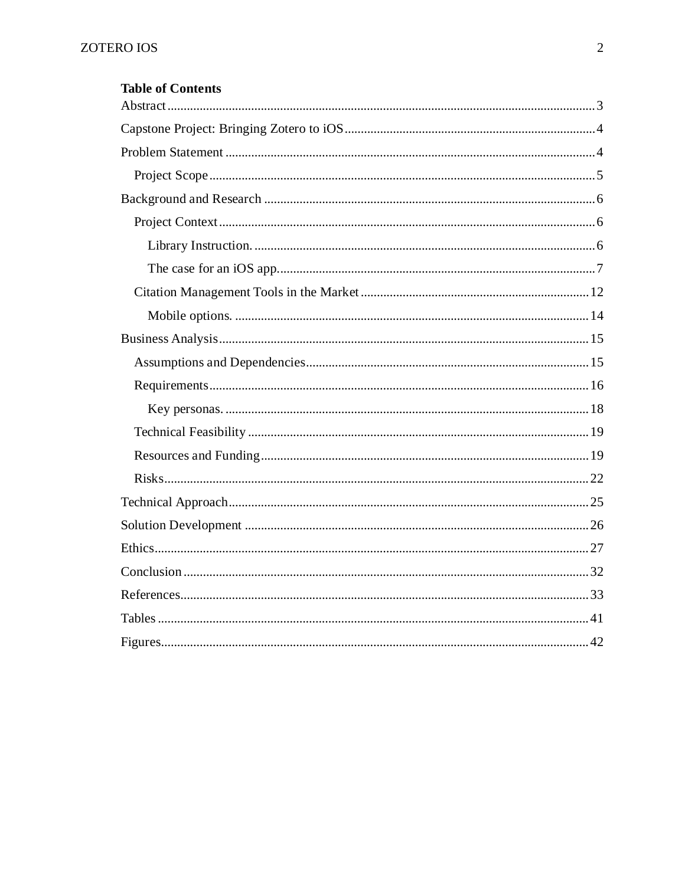| <b>Table of Contents</b> |
|--------------------------|
|                          |
|                          |
|                          |
|                          |
|                          |
|                          |
|                          |
|                          |
|                          |
|                          |
|                          |
|                          |
|                          |
|                          |
|                          |
|                          |
|                          |
|                          |
|                          |
|                          |
|                          |
|                          |
|                          |
|                          |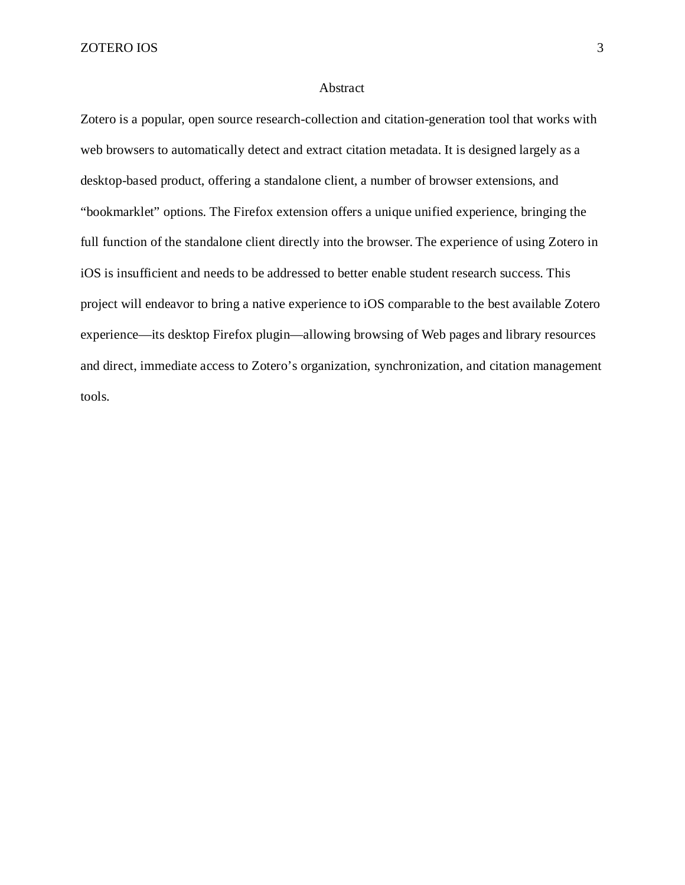#### <span id="page-2-0"></span>Abstract

Zotero is a popular, open source research-collection and citation-generation tool that works with web browsers to automatically detect and extract citation metadata. It is designed largely as a desktop-based product, offering a standalone client, a number of browser extensions, and "bookmarklet" options. The Firefox extension offers a unique unified experience, bringing the full function of the standalone client directly into the browser. The experience of using Zotero in iOS is insufficient and needs to be addressed to better enable student research success. This project will endeavor to bring a native experience to iOS comparable to the best available Zotero experience—its desktop Firefox plugin—allowing browsing of Web pages and library resources and direct, immediate access to Zotero's organization, synchronization, and citation management tools.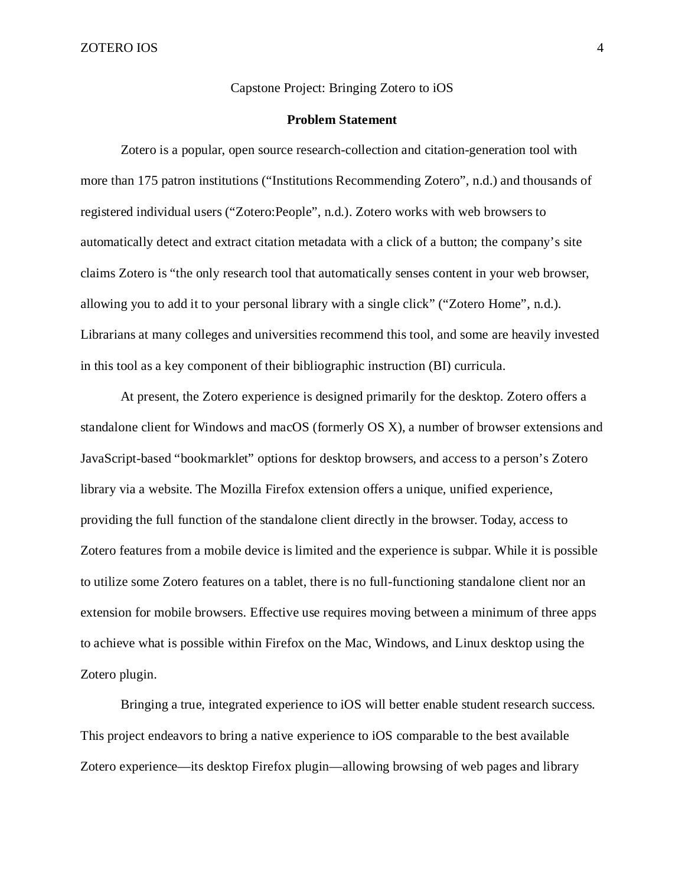<span id="page-3-0"></span>Capstone Project: Bringing Zotero to iOS

# **Problem Statement**

<span id="page-3-1"></span>Zotero is a popular, open source research-collection and citation-generation tool with more than 175 patron institutions ("Institutions Recommending Zotero", n.d.) and thousands of registered individual users ("Zotero:People", n.d.). Zotero works with web browsers to automatically detect and extract citation metadata with a click of a button; the company's site claims Zotero is "the only research tool that automatically senses content in your web browser, allowing you to add it to your personal library with a single click" ("Zotero Home", n.d.). Librarians at many colleges and universities recommend this tool, and some are heavily invested in this tool as a key component of their bibliographic instruction (BI) curricula.

At present, the Zotero experience is designed primarily for the desktop. Zotero offers a standalone client for Windows and macOS (formerly OS X), a number of browser extensions and JavaScript-based "bookmarklet" options for desktop browsers, and access to a person's Zotero library via a website. The Mozilla Firefox extension offers a unique, unified experience, providing the full function of the standalone client directly in the browser. Today, access to Zotero features from a mobile device is limited and the experience is subpar. While it is possible to utilize some Zotero features on a tablet, there is no full-functioning standalone client nor an extension for mobile browsers. Effective use requires moving between a minimum of three apps to achieve what is possible within Firefox on the Mac, Windows, and Linux desktop using the Zotero plugin.

Bringing a true, integrated experience to iOS will better enable student research success. This project endeavors to bring a native experience to iOS comparable to the best available Zotero experience—its desktop Firefox plugin—allowing browsing of web pages and library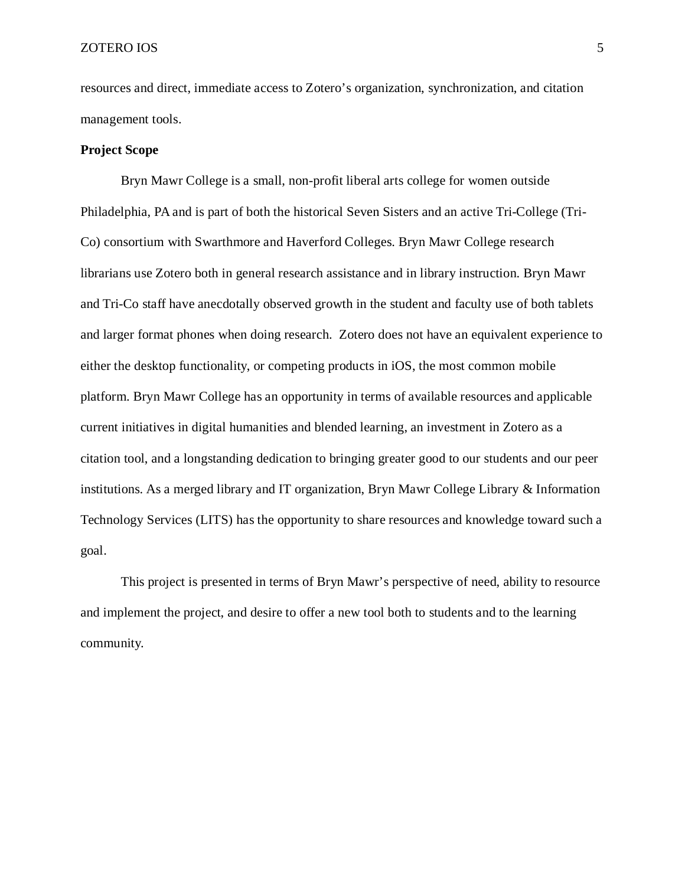resources and direct, immediate access to Zotero's organization, synchronization, and citation management tools.

### <span id="page-4-0"></span>**Project Scope**

Bryn Mawr College is a small, non-profit liberal arts college for women outside Philadelphia, PA and is part of both the historical Seven Sisters and an active Tri-College (Tri-Co) consortium with Swarthmore and Haverford Colleges. Bryn Mawr College research librarians use Zotero both in general research assistance and in library instruction. Bryn Mawr and Tri-Co staff have anecdotally observed growth in the student and faculty use of both tablets and larger format phones when doing research. Zotero does not have an equivalent experience to either the desktop functionality, or competing products in iOS, the most common mobile platform. Bryn Mawr College has an opportunity in terms of available resources and applicable current initiatives in digital humanities and blended learning, an investment in Zotero as a citation tool, and a longstanding dedication to bringing greater good to our students and our peer institutions. As a merged library and IT organization, Bryn Mawr College Library & Information Technology Services (LITS) has the opportunity to share resources and knowledge toward such a goal.

This project is presented in terms of Bryn Mawr's perspective of need, ability to resource and implement the project, and desire to offer a new tool both to students and to the learning community.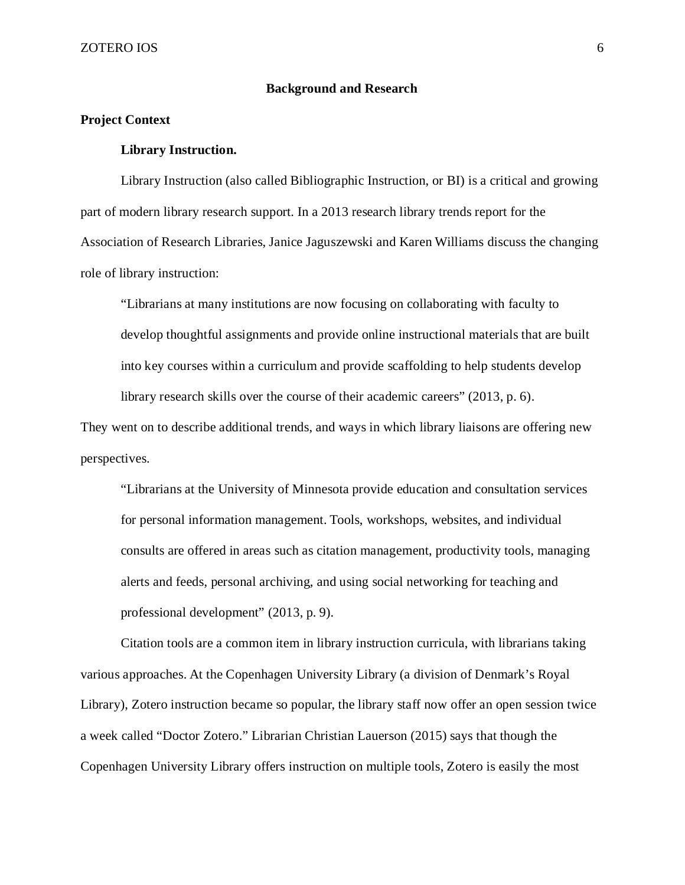### **Background and Research**

### <span id="page-5-2"></span><span id="page-5-1"></span><span id="page-5-0"></span>**Project Context**

### **Library Instruction.**

Library Instruction (also called Bibliographic Instruction, or BI) is a critical and growing part of modern library research support. In a 2013 research library trends report for the Association of Research Libraries, Janice Jaguszewski and Karen Williams discuss the changing role of library instruction:

"Librarians at many institutions are now focusing on collaborating with faculty to develop thoughtful assignments and provide online instructional materials that are built into key courses within a curriculum and provide scaffolding to help students develop library research skills over the course of their academic careers" (2013, p. 6).

They went on to describe additional trends, and ways in which library liaisons are offering new perspectives.

"Librarians at the University of Minnesota provide education and consultation services for personal information management. Tools, workshops, websites, and individual consults are offered in areas such as citation management, productivity tools, managing alerts and feeds, personal archiving, and using social networking for teaching and professional development" (2013, p. 9).

Citation tools are a common item in library instruction curricula, with librarians taking various approaches. At the Copenhagen University Library (a division of Denmark's Royal Library), Zotero instruction became so popular, the library staff now offer an open session twice a week called "Doctor Zotero." Librarian Christian Lauerson (2015) says that though the Copenhagen University Library offers instruction on multiple tools, Zotero is easily the most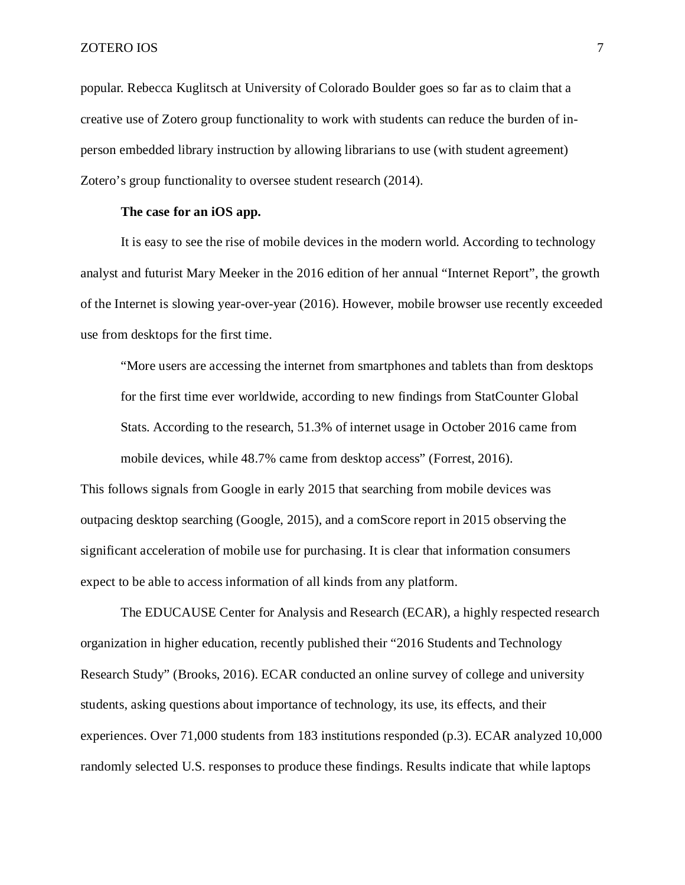popular. Rebecca Kuglitsch at University of Colorado Boulder goes so far as to claim that a creative use of Zotero group functionality to work with students can reduce the burden of inperson embedded library instruction by allowing librarians to use (with student agreement) Zotero's group functionality to oversee student research (2014).

### **The case for an iOS app.**

<span id="page-6-0"></span>It is easy to see the rise of mobile devices in the modern world. According to technology analyst and futurist Mary Meeker in the 2016 edition of her annual "Internet Report", the growth of the Internet is slowing year-over-year (2016). However, mobile browser use recently exceeded use from desktops for the first time.

"More users are accessing the internet from smartphones and tablets than from desktops for the first time ever worldwide, according to new findings from StatCounter Global Stats. According to the research, 51.3% of internet usage in October 2016 came from mobile devices, while 48.7% came from desktop access" (Forrest, 2016).

This follows signals from Google in early 2015 that searching from mobile devices was outpacing desktop searching (Google, 2015), and a comScore report in 2015 observing the significant acceleration of mobile use for purchasing. It is clear that information consumers expect to be able to access information of all kinds from any platform.

The EDUCAUSE Center for Analysis and Research (ECAR), a highly respected research organization in higher education, recently published their "2016 Students and Technology Research Study" (Brooks, 2016). ECAR conducted an online survey of college and university students, asking questions about importance of technology, its use, its effects, and their experiences. Over 71,000 students from 183 institutions responded (p.3). ECAR analyzed 10,000 randomly selected U.S. responses to produce these findings. Results indicate that while laptops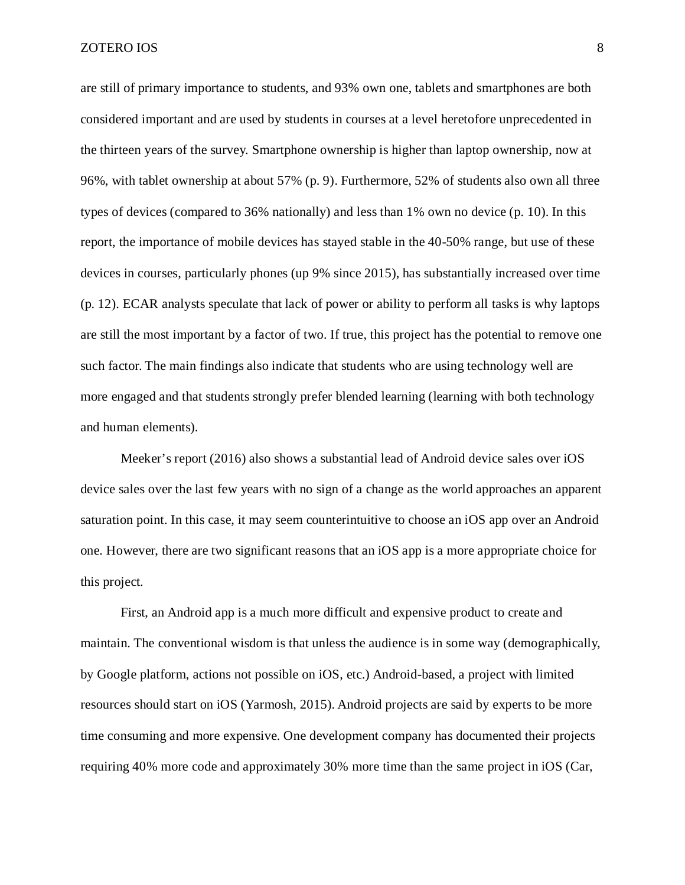are still of primary importance to students, and 93% own one, tablets and smartphones are both considered important and are used by students in courses at a level heretofore unprecedented in the thirteen years of the survey. Smartphone ownership is higher than laptop ownership, now at 96%, with tablet ownership at about 57% (p. 9). Furthermore, 52% of students also own all three types of devices (compared to 36% nationally) and less than 1% own no device (p. 10). In this report, the importance of mobile devices has stayed stable in the 40-50% range, but use of these devices in courses, particularly phones (up 9% since 2015), has substantially increased over time (p. 12). ECAR analysts speculate that lack of power or ability to perform all tasks is why laptops are still the most important by a factor of two. If true, this project has the potential to remove one such factor. The main findings also indicate that students who are using technology well are more engaged and that students strongly prefer blended learning (learning with both technology and human elements).

Meeker's report (2016) also shows a substantial lead of Android device sales over iOS device sales over the last few years with no sign of a change as the world approaches an apparent saturation point. In this case, it may seem counterintuitive to choose an iOS app over an Android one. However, there are two significant reasons that an iOS app is a more appropriate choice for this project.

First, an Android app is a much more difficult and expensive product to create and maintain. The conventional wisdom is that unless the audience is in some way (demographically, by Google platform, actions not possible on iOS, etc.) Android-based, a project with limited resources should start on iOS (Yarmosh, 2015). Android projects are said by experts to be more time consuming and more expensive. One development company has documented their projects requiring 40% more code and approximately 30% more time than the same project in iOS (Car,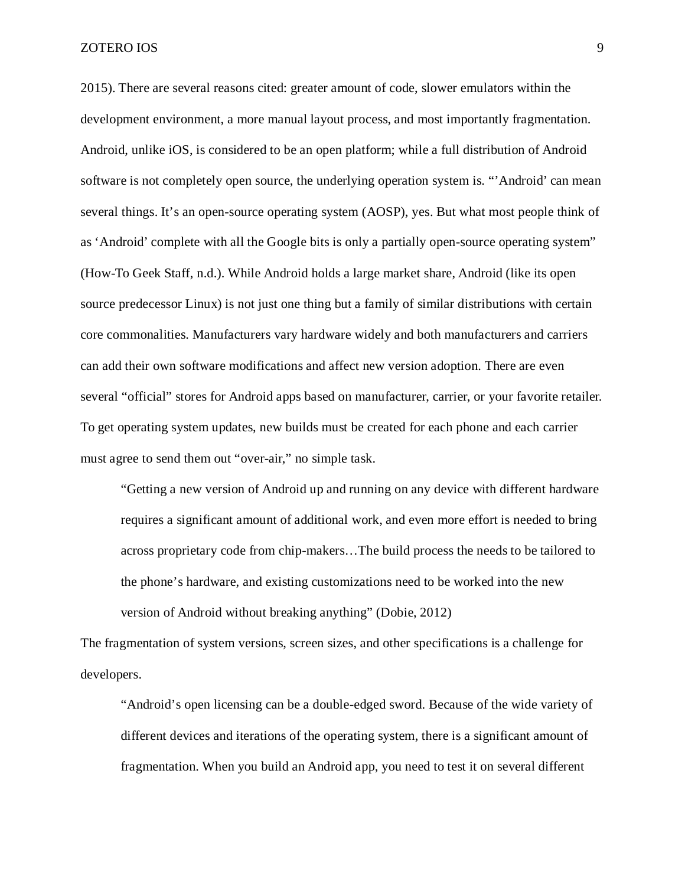2015). There are several reasons cited: greater amount of code, slower emulators within the development environment, a more manual layout process, and most importantly fragmentation. Android, unlike iOS, is considered to be an open platform; while a full distribution of Android software is not completely open source, the underlying operation system is. "'Android' can mean several things. It's an open-source operating system (AOSP), yes. But what most people think of as 'Android' complete with all the Google bits is only a partially open-source operating system" (How-To Geek Staff, n.d.). While Android holds a large market share, Android (like its open source predecessor Linux) is not just one thing but a family of similar distributions with certain core commonalities. Manufacturers vary hardware widely and both manufacturers and carriers can add their own software modifications and affect new version adoption. There are even several "official" stores for Android apps based on manufacturer, carrier, or your favorite retailer. To get operating system updates, new builds must be created for each phone and each carrier must agree to send them out "over-air," no simple task.

"Getting a new version of Android up and running on any device with different hardware requires a significant amount of additional work, and even more effort is needed to bring across proprietary code from chip-makers…The build process the needs to be tailored to the phone's hardware, and existing customizations need to be worked into the new version of Android without breaking anything" (Dobie, 2012)

The fragmentation of system versions, screen sizes, and other specifications is a challenge for developers.

"Android's open licensing can be a double-edged sword. Because of the wide variety of different devices and iterations of the operating system, there is a significant amount of fragmentation. When you build an Android app, you need to test it on several different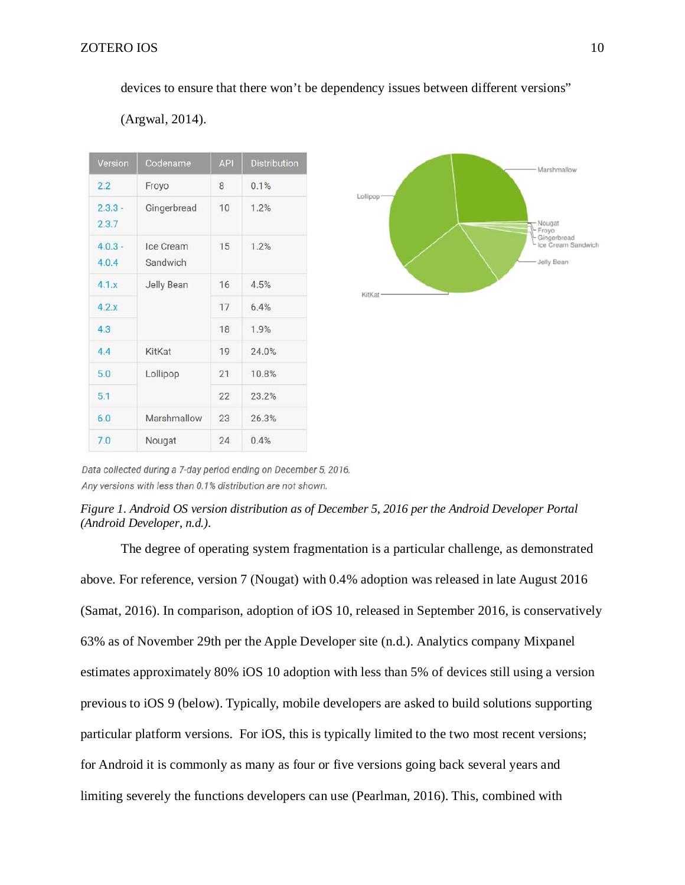devices to ensure that there won't be dependency issues between different versions"

| Version            | Codename              | <b>API</b> | <b>Distribution</b> |  |  |
|--------------------|-----------------------|------------|---------------------|--|--|
| 2.2                | Froyo                 | 8          | 0.1%                |  |  |
| $2.3.3 -$<br>2.3.7 | Gingerbread           | 10         | 1.2%                |  |  |
| $403 -$<br>4.0.4   | Ice Cream<br>Sandwich | 15         | 1.2%                |  |  |
| 4.1.x              | <b>Jelly Bean</b>     | 16         | 4.5%                |  |  |
| 4.2x               |                       | 17         | 6.4%                |  |  |
| 4.3                |                       | 18         | 1.9%                |  |  |
| 4.4                | KitKat                | 19         | 24.0%               |  |  |
| 5.0                | Lollipop              | 21         | 10.8%               |  |  |
| 5.1                |                       | 22         | 23.2%               |  |  |
| 6.0                | Marshmallow           | 23         | 26.3%               |  |  |
| 7.0                | Nougat                | 24         | 0.4%                |  |  |





Data collected during a 7-day period ending on December 5, 2016. Any versions with less than 0.1% distribution are not shown.



The degree of operating system fragmentation is a particular challenge, as demonstrated above. For reference, version 7 (Nougat) with 0.4% adoption was released in late August 2016 (Samat, 2016). In comparison, adoption of iOS 10, released in September 2016, is conservatively 63% as of November 29th per the Apple Developer site (n.d.). Analytics company Mixpanel estimates approximately 80% iOS 10 adoption with less than 5% of devices still using a version previous to iOS 9 (below). Typically, mobile developers are asked to build solutions supporting particular platform versions. For iOS, this is typically limited to the two most recent versions; for Android it is commonly as many as four or five versions going back several years and limiting severely the functions developers can use (Pearlman, 2016). This, combined with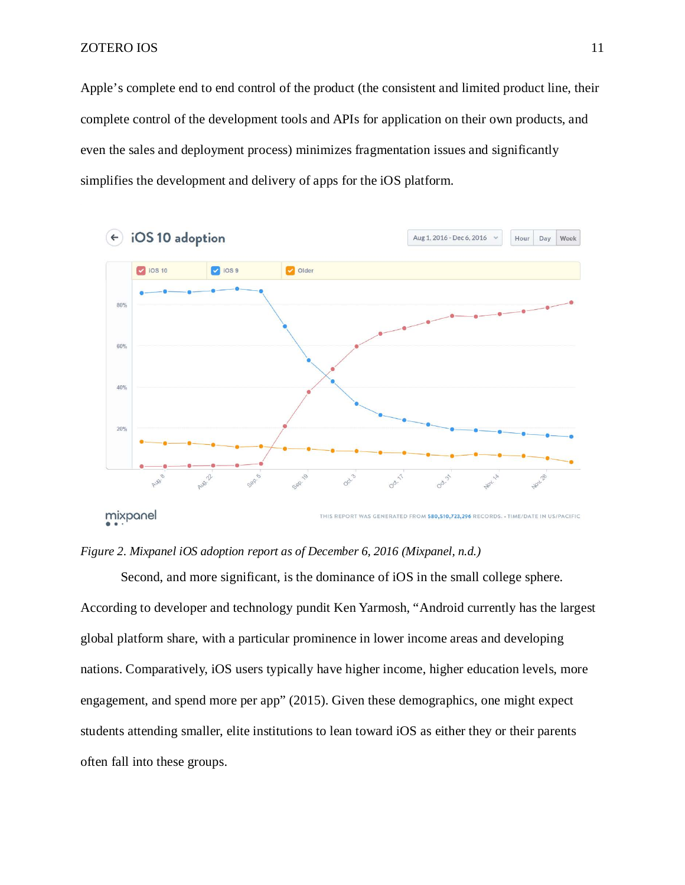Apple's complete end to end control of the product (the consistent and limited product line, their complete control of the development tools and APIs for application on their own products, and even the sales and deployment process) minimizes fragmentation issues and significantly simplifies the development and delivery of apps for the iOS platform.



### *Figure 2. Mixpanel iOS adoption report as of December 6, 2016 (Mixpanel, n.d.)*

Second, and more significant, is the dominance of iOS in the small college sphere. According to developer and technology pundit Ken Yarmosh, "Android currently has the largest global platform share, with a particular prominence in lower income areas and developing nations. Comparatively, iOS users typically have higher income, higher education levels, more engagement, and spend more per app" (2015). Given these demographics, one might expect students attending smaller, elite institutions to lean toward iOS as either they or their parents often fall into these groups.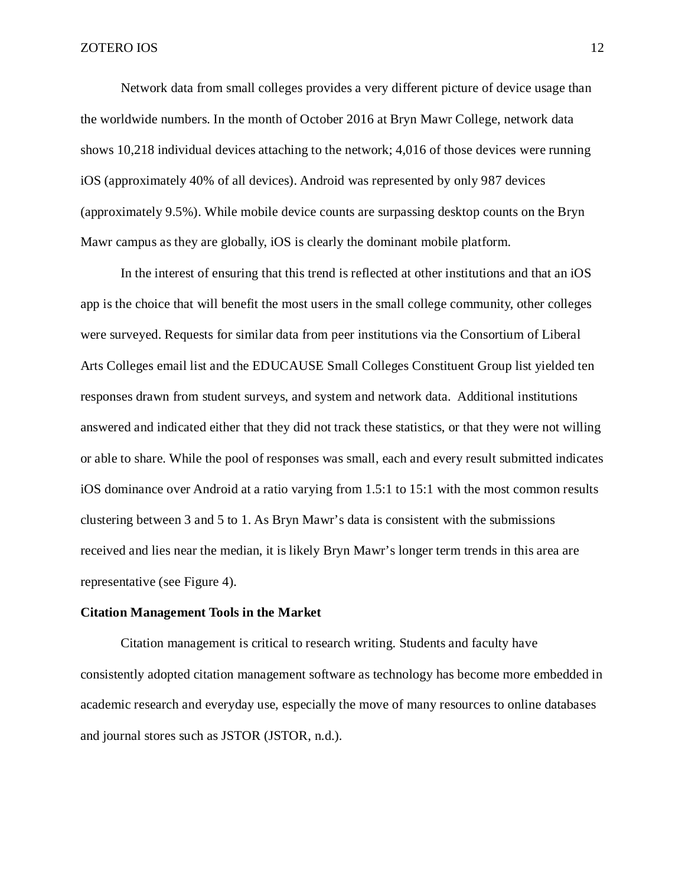Network data from small colleges provides a very different picture of device usage than the worldwide numbers. In the month of October 2016 at Bryn Mawr College, network data shows 10,218 individual devices attaching to the network; 4,016 of those devices were running iOS (approximately 40% of all devices). Android was represented by only 987 devices (approximately 9.5%). While mobile device counts are surpassing desktop counts on the Bryn Mawr campus as they are globally, iOS is clearly the dominant mobile platform.

In the interest of ensuring that this trend is reflected at other institutions and that an iOS app is the choice that will benefit the most users in the small college community, other colleges were surveyed. Requests for similar data from peer institutions via the Consortium of Liberal Arts Colleges email list and the EDUCAUSE Small Colleges Constituent Group list yielded ten responses drawn from student surveys, and system and network data. Additional institutions answered and indicated either that they did not track these statistics, or that they were not willing or able to share. While the pool of responses was small, each and every result submitted indicates iOS dominance over Android at a ratio varying from 1.5:1 to 15:1 with the most common results clustering between 3 and 5 to 1. As Bryn Mawr's data is consistent with the submissions received and lies near the median, it is likely Bryn Mawr's longer term trends in this area are representative (see Figure 4).

#### <span id="page-11-0"></span>**Citation Management Tools in the Market**

Citation management is critical to research writing. Students and faculty have consistently adopted citation management software as technology has become more embedded in academic research and everyday use, especially the move of many resources to online databases and journal stores such as JSTOR (JSTOR, n.d.).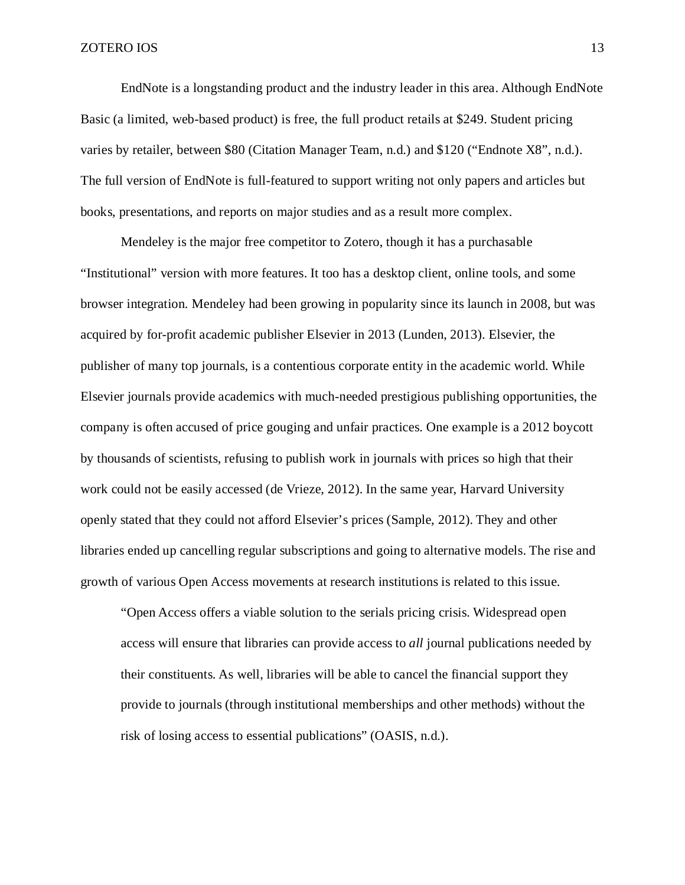EndNote is a longstanding product and the industry leader in this area. Although EndNote Basic (a limited, web-based product) is free, the full product retails at \$249. Student pricing varies by retailer, between \$80 (Citation Manager Team, n.d.) and \$120 ("Endnote X8", n.d.). The full version of EndNote is full-featured to support writing not only papers and articles but books, presentations, and reports on major studies and as a result more complex.

Mendeley is the major free competitor to Zotero, though it has a purchasable "Institutional" version with more features. It too has a desktop client, online tools, and some browser integration. Mendeley had been growing in popularity since its launch in 2008, but was acquired by for-profit academic publisher Elsevier in 2013 (Lunden, 2013). Elsevier, the publisher of many top journals, is a contentious corporate entity in the academic world. While Elsevier journals provide academics with much-needed prestigious publishing opportunities, the company is often accused of price gouging and unfair practices. One example is a 2012 boycott by thousands of scientists, refusing to publish work in journals with prices so high that their work could not be easily accessed (de Vrieze, 2012). In the same year, Harvard University openly stated that they could not afford Elsevier's prices (Sample, 2012). They and other libraries ended up cancelling regular subscriptions and going to alternative models. The rise and growth of various Open Access movements at research institutions is related to this issue.

"Open Access offers a viable solution to the serials pricing crisis. Widespread open access will ensure that libraries can provide access to *all* journal publications needed by their constituents. As well, libraries will be able to cancel the financial support they provide to journals (through institutional memberships and other methods) without the risk of losing access to essential publications" (OASIS, n.d.).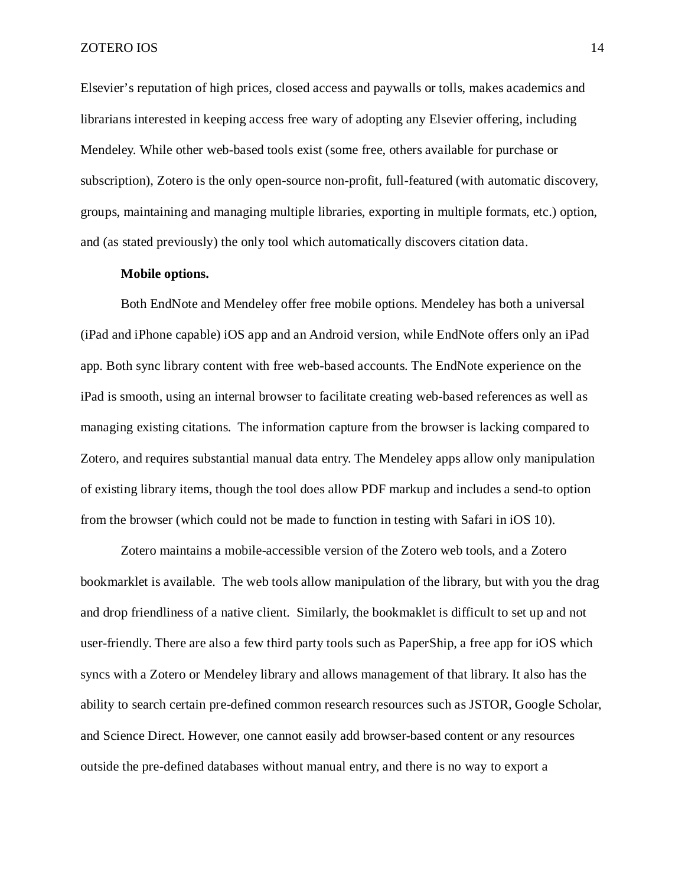Elsevier's reputation of high prices, closed access and paywalls or tolls, makes academics and librarians interested in keeping access free wary of adopting any Elsevier offering, including Mendeley. While other web-based tools exist (some free, others available for purchase or subscription), Zotero is the only open-source non-profit, full-featured (with automatic discovery, groups, maintaining and managing multiple libraries, exporting in multiple formats, etc.) option, and (as stated previously) the only tool which automatically discovers citation data.

### **Mobile options.**

<span id="page-13-0"></span>Both EndNote and Mendeley offer free mobile options. Mendeley has both a universal (iPad and iPhone capable) iOS app and an Android version, while EndNote offers only an iPad app. Both sync library content with free web-based accounts. The EndNote experience on the iPad is smooth, using an internal browser to facilitate creating web-based references as well as managing existing citations. The information capture from the browser is lacking compared to Zotero, and requires substantial manual data entry. The Mendeley apps allow only manipulation of existing library items, though the tool does allow PDF markup and includes a send-to option from the browser (which could not be made to function in testing with Safari in iOS 10).

Zotero maintains a mobile-accessible version of the Zotero web tools, and a Zotero bookmarklet is available. The web tools allow manipulation of the library, but with you the drag and drop friendliness of a native client. Similarly, the bookmaklet is difficult to set up and not user-friendly. There are also a few third party tools such as PaperShip, a free app for iOS which syncs with a Zotero or Mendeley library and allows management of that library. It also has the ability to search certain pre-defined common research resources such as JSTOR, Google Scholar, and Science Direct. However, one cannot easily add browser-based content or any resources outside the pre-defined databases without manual entry, and there is no way to export a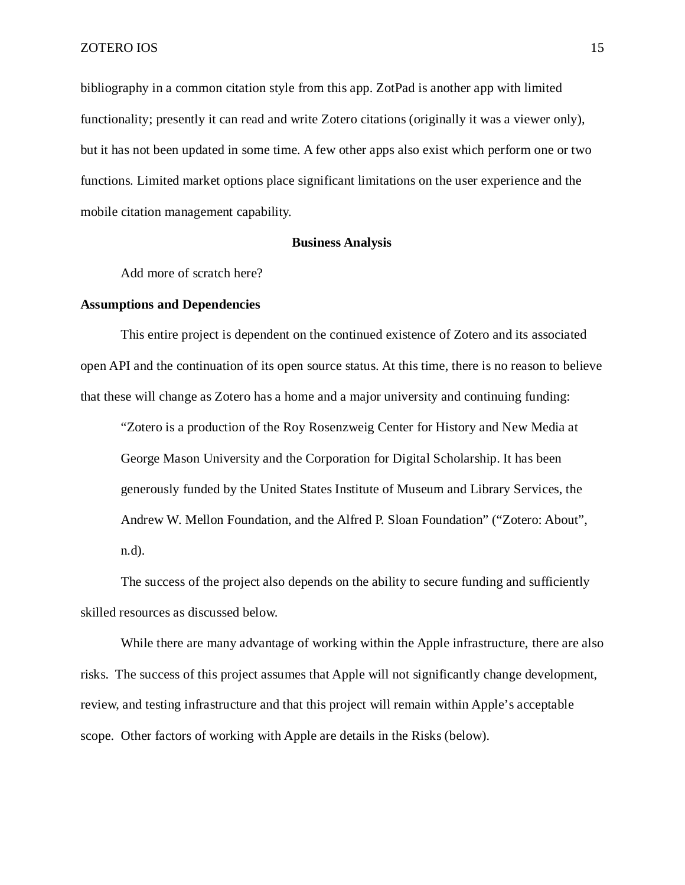bibliography in a common citation style from this app. ZotPad is another app with limited functionality; presently it can read and write Zotero citations (originally it was a viewer only), but it has not been updated in some time. A few other apps also exist which perform one or two functions. Limited market options place significant limitations on the user experience and the mobile citation management capability.

### **Business Analysis**

<span id="page-14-0"></span>Add more of scratch here?

### <span id="page-14-1"></span>**Assumptions and Dependencies**

This entire project is dependent on the continued existence of Zotero and its associated open API and the continuation of its open source status. At this time, there is no reason to believe that these will change as Zotero has a home and a major university and continuing funding:

"Zotero is a production of the Roy Rosenzweig Center for History and New Media at George Mason University and the Corporation for Digital Scholarship. It has been generously funded by the United States Institute of Museum and Library Services, the Andrew W. Mellon Foundation, and the Alfred P. Sloan Foundation" ("Zotero: About", n.d).

The success of the project also depends on the ability to secure funding and sufficiently skilled resources as discussed below.

While there are many advantage of working within the Apple infrastructure, there are also risks. The success of this project assumes that Apple will not significantly change development, review, and testing infrastructure and that this project will remain within Apple's acceptable scope. Other factors of working with Apple are details in the Risks (below).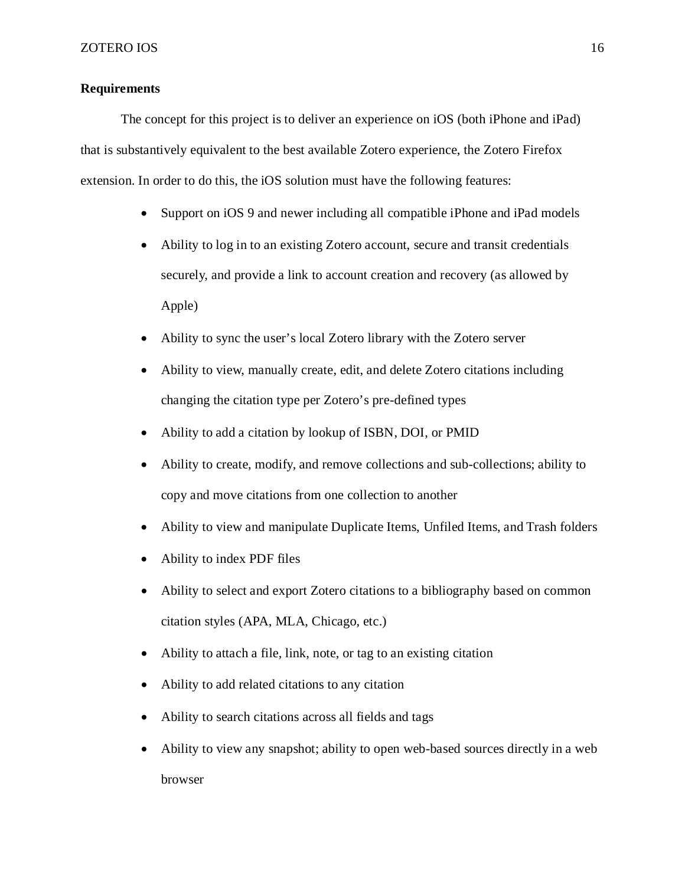# <span id="page-15-0"></span>**Requirements**

The concept for this project is to deliver an experience on iOS (both iPhone and iPad) that is substantively equivalent to the best available Zotero experience, the Zotero Firefox extension. In order to do this, the iOS solution must have the following features:

- Support on iOS 9 and newer including all compatible iPhone and iPad models
- Ability to log in to an existing Zotero account, secure and transit credentials securely, and provide a link to account creation and recovery (as allowed by Apple)
- Ability to sync the user's local Zotero library with the Zotero server
- Ability to view, manually create, edit, and delete Zotero citations including changing the citation type per Zotero's pre-defined types
- Ability to add a citation by lookup of ISBN, DOI, or PMID
- Ability to create, modify, and remove collections and sub-collections; ability to copy and move citations from one collection to another
- Ability to view and manipulate Duplicate Items, Unfiled Items, and Trash folders
- Ability to index PDF files
- Ability to select and export Zotero citations to a bibliography based on common citation styles (APA, MLA, Chicago, etc.)
- Ability to attach a file, link, note, or tag to an existing citation
- Ability to add related citations to any citation
- Ability to search citations across all fields and tags
- Ability to view any snapshot; ability to open web-based sources directly in a web browser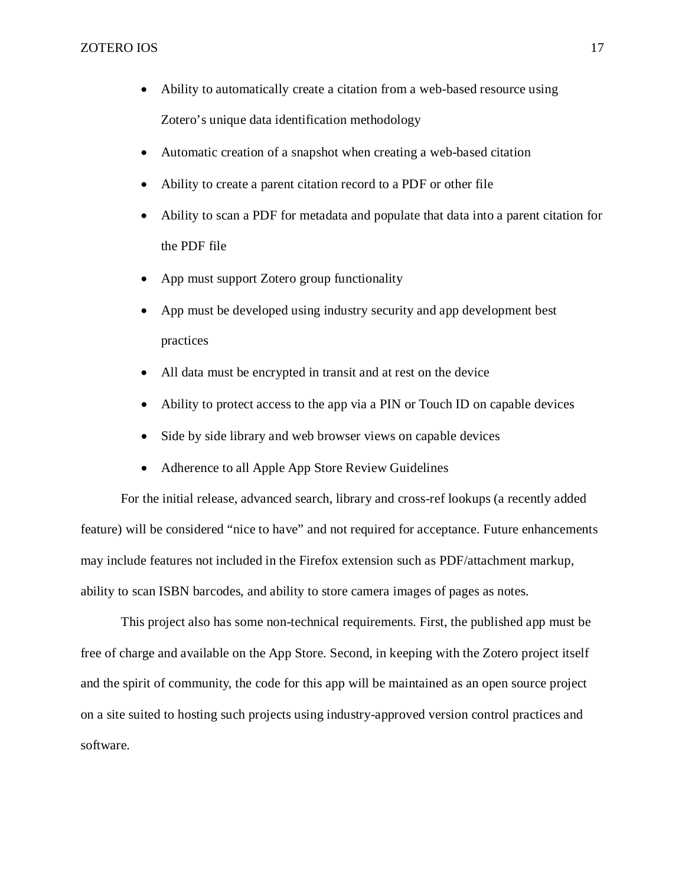- Ability to automatically create a citation from a web-based resource using Zotero's unique data identification methodology
- Automatic creation of a snapshot when creating a web-based citation
- Ability to create a parent citation record to a PDF or other file
- Ability to scan a PDF for metadata and populate that data into a parent citation for the PDF file
- App must support Zotero group functionality
- App must be developed using industry security and app development best practices
- All data must be encrypted in transit and at rest on the device
- Ability to protect access to the app via a PIN or Touch ID on capable devices
- Side by side library and web browser views on capable devices
- Adherence to all Apple App Store Review Guidelines

For the initial release, advanced search, library and cross-ref lookups (a recently added feature) will be considered "nice to have" and not required for acceptance. Future enhancements may include features not included in the Firefox extension such as PDF/attachment markup, ability to scan ISBN barcodes, and ability to store camera images of pages as notes.

This project also has some non-technical requirements. First, the published app must be free of charge and available on the App Store. Second, in keeping with the Zotero project itself and the spirit of community, the code for this app will be maintained as an open source project on a site suited to hosting such projects using industry-approved version control practices and software.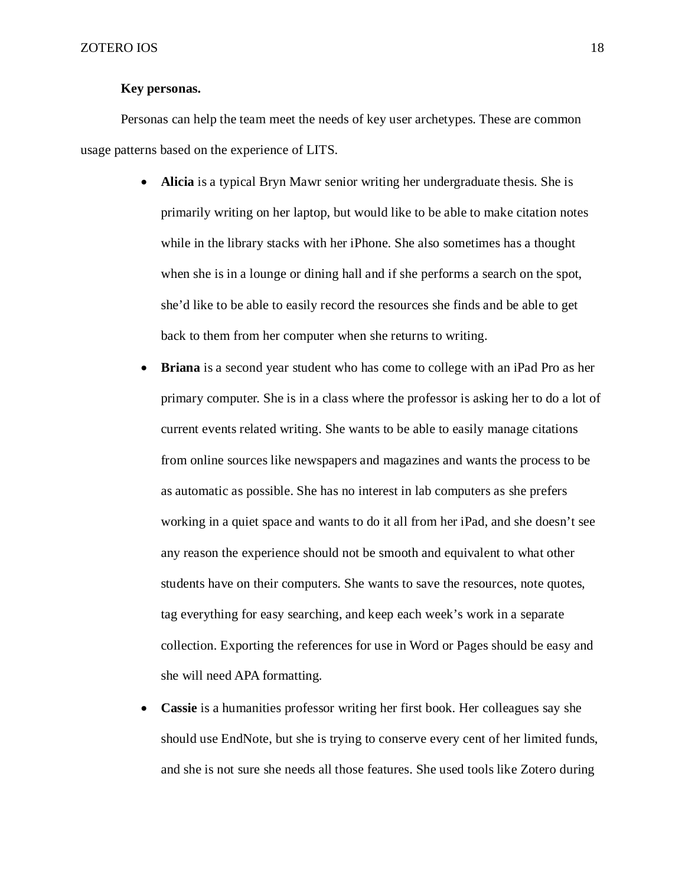# **Key personas.**

<span id="page-17-0"></span>Personas can help the team meet the needs of key user archetypes. These are common usage patterns based on the experience of LITS.

- **Alicia** is a typical Bryn Mawr senior writing her undergraduate thesis. She is primarily writing on her laptop, but would like to be able to make citation notes while in the library stacks with her iPhone. She also sometimes has a thought when she is in a lounge or dining hall and if she performs a search on the spot, she'd like to be able to easily record the resources she finds and be able to get back to them from her computer when she returns to writing.
- **Briana** is a second year student who has come to college with an iPad Pro as her primary computer. She is in a class where the professor is asking her to do a lot of current events related writing. She wants to be able to easily manage citations from online sources like newspapers and magazines and wants the process to be as automatic as possible. She has no interest in lab computers as she prefers working in a quiet space and wants to do it all from her iPad, and she doesn't see any reason the experience should not be smooth and equivalent to what other students have on their computers. She wants to save the resources, note quotes, tag everything for easy searching, and keep each week's work in a separate collection. Exporting the references for use in Word or Pages should be easy and she will need APA formatting.
- **Cassie** is a humanities professor writing her first book. Her colleagues say she should use EndNote, but she is trying to conserve every cent of her limited funds, and she is not sure she needs all those features. She used tools like Zotero during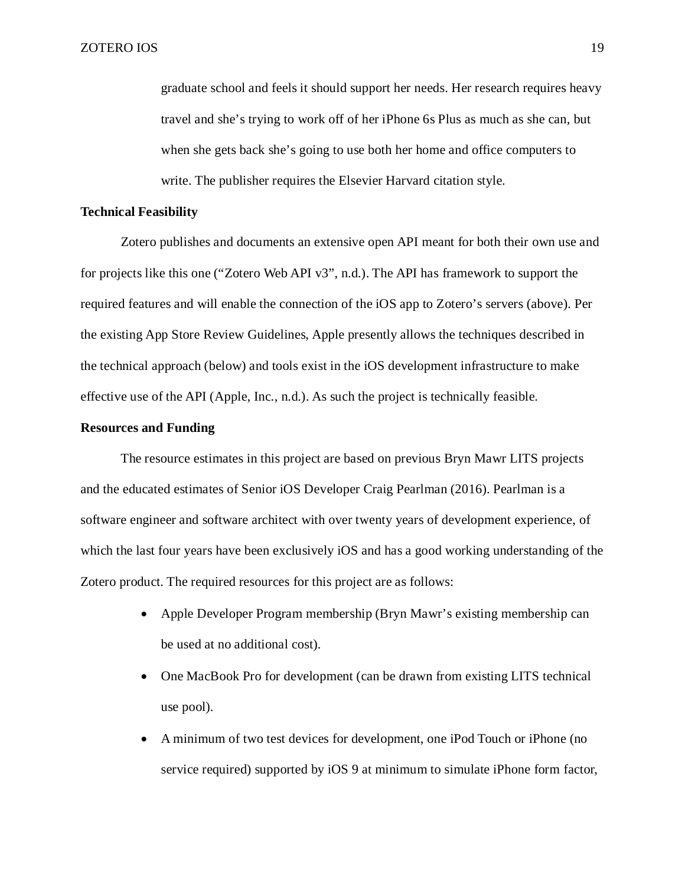graduate school and feels it should support her needs. Her research requires heavy travel and she's trying to work off of her iPhone 6s Plus as much as she can, but when she gets back she's going to use both her home and office computers to write. The publisher requires the Elsevier Harvard citation style.

### <span id="page-18-0"></span>**Technical Feasibility**

Zotero publishes and documents an extensive open API meant for both their own use and for projects like this one ("Zotero Web API v3", n.d.). The API has framework to support the required features and will enable the connection of the iOS app to Zotero's servers (above). Per the existing App Store Review Guidelines, Apple presently allows the techniques described in the technical approach (below) and tools exist in the iOS development infrastructure to make effective use of the API (Apple, Inc., n.d.). As such the project is technically feasible.

### <span id="page-18-1"></span>**Resources and Funding**

The resource estimates in this project are based on previous Bryn Mawr LITS projects and the educated estimates of Senior iOS Developer Craig Pearlman (2016). Pearlman is a software engineer and software architect with over twenty years of development experience, of which the last four years have been exclusively iOS and has a good working understanding of the Zotero product. The required resources for this project are as follows:

- Apple Developer Program membership (Bryn Mawr's existing membership can be used at no additional cost).
- One MacBook Pro for development (can be drawn from existing LITS technical use pool).
- A minimum of two test devices for development, one iPod Touch or iPhone (no service required) supported by iOS 9 at minimum to simulate iPhone form factor,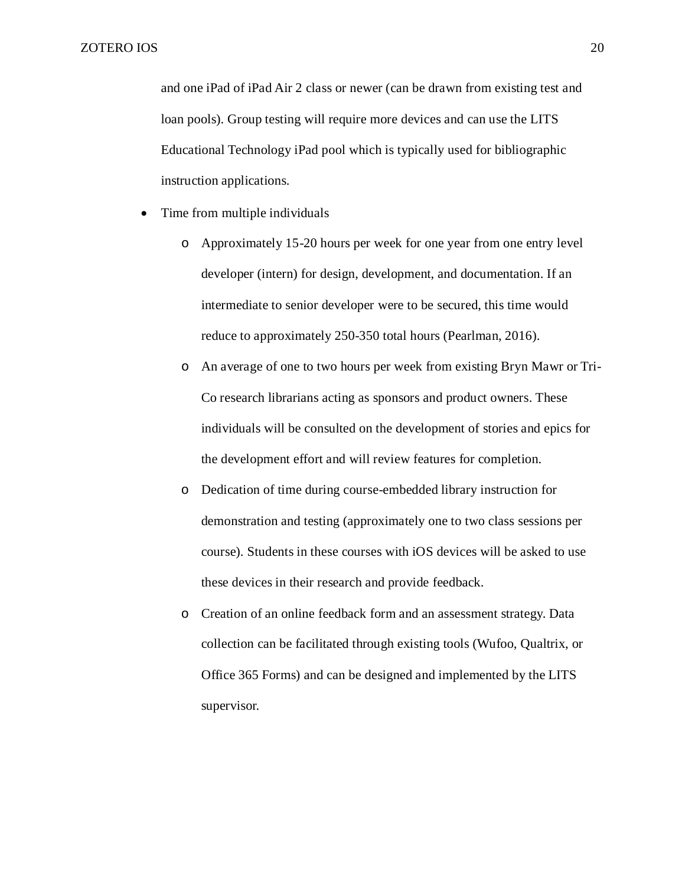and one iPad of iPad Air 2 class or newer (can be drawn from existing test and loan pools). Group testing will require more devices and can use the LITS Educational Technology iPad pool which is typically used for bibliographic instruction applications.

- Time from multiple individuals
	- o Approximately 15-20 hours per week for one year from one entry level developer (intern) for design, development, and documentation. If an intermediate to senior developer were to be secured, this time would reduce to approximately 250-350 total hours (Pearlman, 2016).
	- o An average of one to two hours per week from existing Bryn Mawr or Tri-Co research librarians acting as sponsors and product owners. These individuals will be consulted on the development of stories and epics for the development effort and will review features for completion.
	- o Dedication of time during course-embedded library instruction for demonstration and testing (approximately one to two class sessions per course). Students in these courses with iOS devices will be asked to use these devices in their research and provide feedback.
	- o Creation of an online feedback form and an assessment strategy. Data collection can be facilitated through existing tools (Wufoo, Qualtrix, or Office 365 Forms) and can be designed and implemented by the LITS supervisor.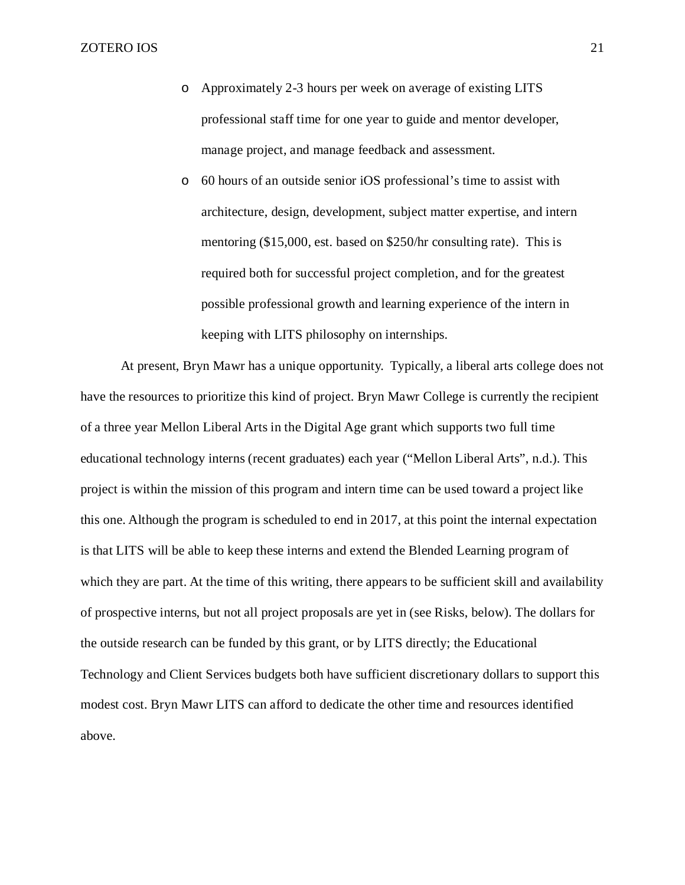- o Approximately 2-3 hours per week on average of existing LITS professional staff time for one year to guide and mentor developer, manage project, and manage feedback and assessment.
- o 60 hours of an outside senior iOS professional's time to assist with architecture, design, development, subject matter expertise, and intern mentoring (\$15,000, est. based on \$250/hr consulting rate). This is required both for successful project completion, and for the greatest possible professional growth and learning experience of the intern in keeping with LITS philosophy on internships.

At present, Bryn Mawr has a unique opportunity. Typically, a liberal arts college does not have the resources to prioritize this kind of project. Bryn Mawr College is currently the recipient of a three year Mellon Liberal Arts in the Digital Age grant which supports two full time educational technology interns (recent graduates) each year ("Mellon Liberal Arts", n.d.). This project is within the mission of this program and intern time can be used toward a project like this one. Although the program is scheduled to end in 2017, at this point the internal expectation is that LITS will be able to keep these interns and extend the Blended Learning program of which they are part. At the time of this writing, there appears to be sufficient skill and availability of prospective interns, but not all project proposals are yet in (see Risks, below). The dollars for the outside research can be funded by this grant, or by LITS directly; the Educational Technology and Client Services budgets both have sufficient discretionary dollars to support this modest cost. Bryn Mawr LITS can afford to dedicate the other time and resources identified above.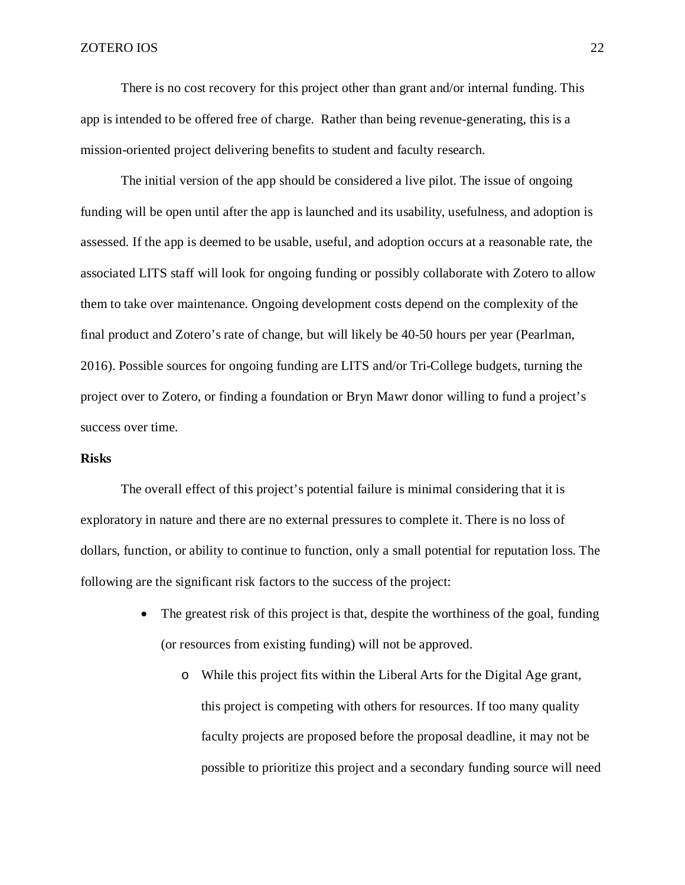There is no cost recovery for this project other than grant and/or internal funding. This app is intended to be offered free of charge. Rather than being revenue-generating, this is a mission-oriented project delivering benefits to student and faculty research.

The initial version of the app should be considered a live pilot. The issue of ongoing funding will be open until after the app is launched and its usability, usefulness, and adoption is assessed. If the app is deemed to be usable, useful, and adoption occurs at a reasonable rate, the associated LITS staff will look for ongoing funding or possibly collaborate with Zotero to allow them to take over maintenance. Ongoing development costs depend on the complexity of the final product and Zotero's rate of change, but will likely be 40-50 hours per year (Pearlman, 2016). Possible sources for ongoing funding are LITS and/or Tri-College budgets, turning the project over to Zotero, or finding a foundation or Bryn Mawr donor willing to fund a project's success over time.

### <span id="page-21-0"></span>**Risks**

The overall effect of this project's potential failure is minimal considering that it is exploratory in nature and there are no external pressures to complete it. There is no loss of dollars, function, or ability to continue to function, only a small potential for reputation loss. The following are the significant risk factors to the success of the project:

- The greatest risk of this project is that, despite the worthiness of the goal, funding (or resources from existing funding) will not be approved.
	- o While this project fits within the Liberal Arts for the Digital Age grant, this project is competing with others for resources. If too many quality faculty projects are proposed before the proposal deadline, it may not be possible to prioritize this project and a secondary funding source will need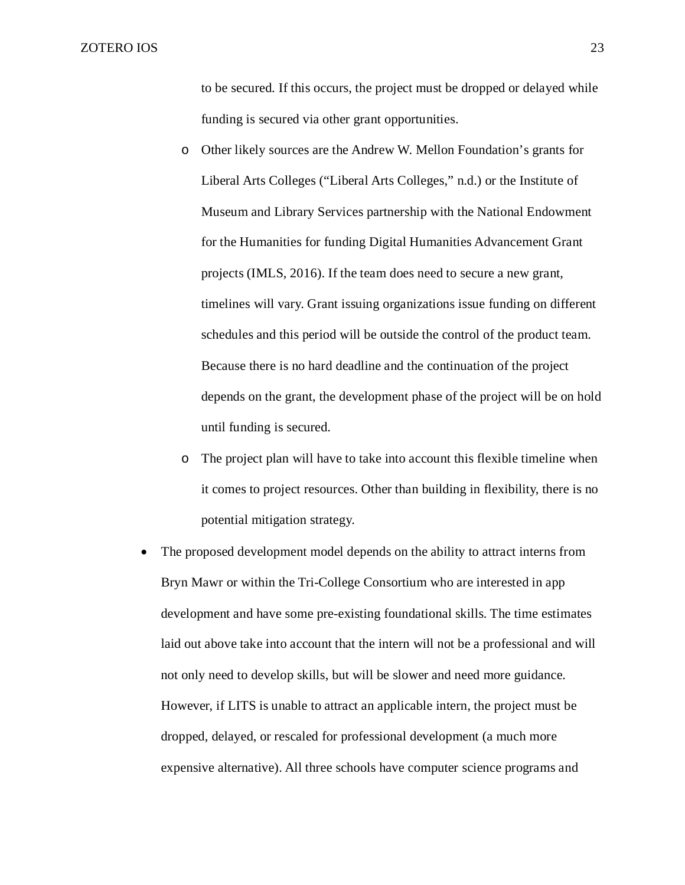to be secured. If this occurs, the project must be dropped or delayed while funding is secured via other grant opportunities.

- o Other likely sources are the Andrew W. Mellon Foundation's grants for Liberal Arts Colleges ("Liberal Arts Colleges," n.d.) or the Institute of Museum and Library Services partnership with the National Endowment for the Humanities for funding Digital Humanities Advancement Grant projects (IMLS, 2016). If the team does need to secure a new grant, timelines will vary. Grant issuing organizations issue funding on different schedules and this period will be outside the control of the product team. Because there is no hard deadline and the continuation of the project depends on the grant, the development phase of the project will be on hold until funding is secured.
- o The project plan will have to take into account this flexible timeline when it comes to project resources. Other than building in flexibility, there is no potential mitigation strategy.
- The proposed development model depends on the ability to attract interns from Bryn Mawr or within the Tri-College Consortium who are interested in app development and have some pre-existing foundational skills. The time estimates laid out above take into account that the intern will not be a professional and will not only need to develop skills, but will be slower and need more guidance. However, if LITS is unable to attract an applicable intern, the project must be dropped, delayed, or rescaled for professional development (a much more expensive alternative). All three schools have computer science programs and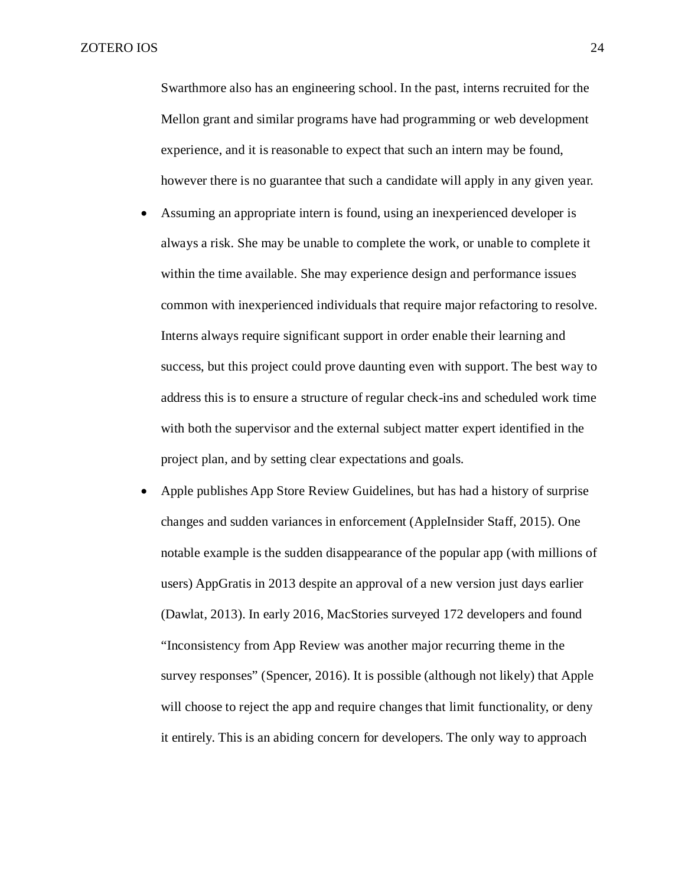Swarthmore also has an engineering school. In the past, interns recruited for the Mellon grant and similar programs have had programming or web development experience, and it is reasonable to expect that such an intern may be found, however there is no guarantee that such a candidate will apply in any given year.

- Assuming an appropriate intern is found, using an inexperienced developer is always a risk. She may be unable to complete the work, or unable to complete it within the time available. She may experience design and performance issues common with inexperienced individuals that require major refactoring to resolve. Interns always require significant support in order enable their learning and success, but this project could prove daunting even with support. The best way to address this is to ensure a structure of regular check-ins and scheduled work time with both the supervisor and the external subject matter expert identified in the project plan, and by setting clear expectations and goals.
- Apple publishes App Store Review Guidelines, but has had a history of surprise changes and sudden variances in enforcement (AppleInsider Staff, 2015). One notable example is the sudden disappearance of the popular app (with millions of users) AppGratis in 2013 despite an approval of a new version just days earlier (Dawlat, 2013). In early 2016, MacStories surveyed 172 developers and found "Inconsistency from App Review was another major recurring theme in the survey responses" (Spencer, 2016). It is possible (although not likely) that Apple will choose to reject the app and require changes that limit functionality, or deny it entirely. This is an abiding concern for developers. The only way to approach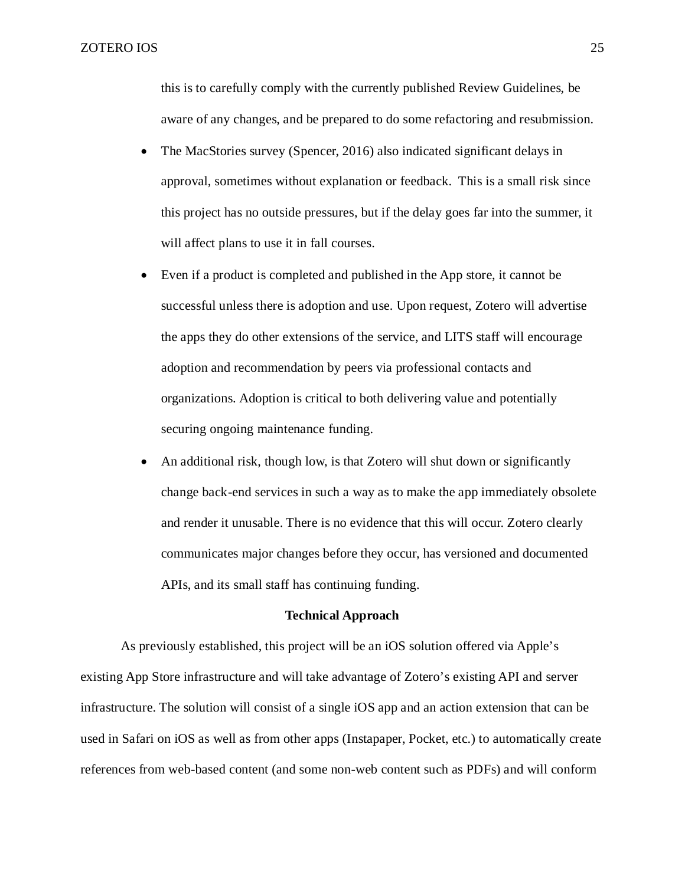this is to carefully comply with the currently published Review Guidelines, be aware of any changes, and be prepared to do some refactoring and resubmission.

- The MacStories survey (Spencer, 2016) also indicated significant delays in approval, sometimes without explanation or feedback. This is a small risk since this project has no outside pressures, but if the delay goes far into the summer, it will affect plans to use it in fall courses.
- Even if a product is completed and published in the App store, it cannot be successful unless there is adoption and use. Upon request, Zotero will advertise the apps they do other extensions of the service, and LITS staff will encourage adoption and recommendation by peers via professional contacts and organizations. Adoption is critical to both delivering value and potentially securing ongoing maintenance funding.
- An additional risk, though low, is that Zotero will shut down or significantly change back-end services in such a way as to make the app immediately obsolete and render it unusable. There is no evidence that this will occur. Zotero clearly communicates major changes before they occur, has versioned and documented APIs, and its small staff has continuing funding.

# **Technical Approach**

<span id="page-24-0"></span>As previously established, this project will be an iOS solution offered via Apple's existing App Store infrastructure and will take advantage of Zotero's existing API and server infrastructure. The solution will consist of a single iOS app and an action extension that can be used in Safari on iOS as well as from other apps (Instapaper, Pocket, etc.) to automatically create references from web-based content (and some non-web content such as PDFs) and will conform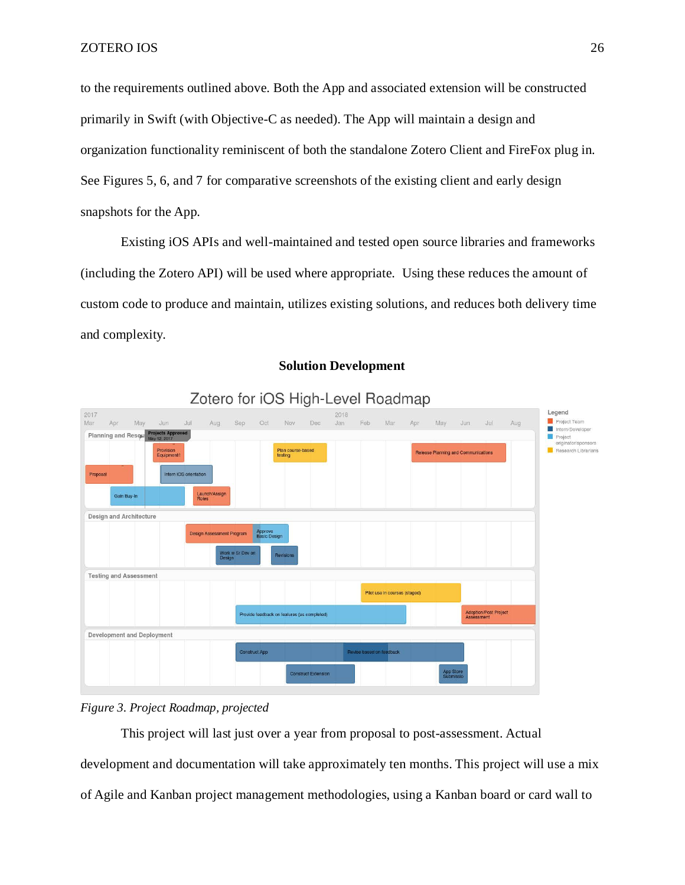to the requirements outlined above. Both the App and associated extension will be constructed primarily in Swift (with Objective-C as needed). The App will maintain a design and organization functionality reminiscent of both the standalone Zotero Client and FireFox plug in. See Figures 5, 6, and 7 for comparative screenshots of the existing client and early design snapshots for the App.

Existing iOS APIs and well-maintained and tested open source libraries and frameworks (including the Zotero API) will be used where appropriate. Using these reduces the amount of custom code to produce and maintain, utilizes existing solutions, and reduces both delivery time and complexity.

<span id="page-25-0"></span>

#### **Solution Development**

# *Figure 3. Project Roadmap, projected*

This project will last just over a year from proposal to post-assessment. Actual development and documentation will take approximately ten months. This project will use a mix of Agile and Kanban project management methodologies, using a Kanban board or card wall to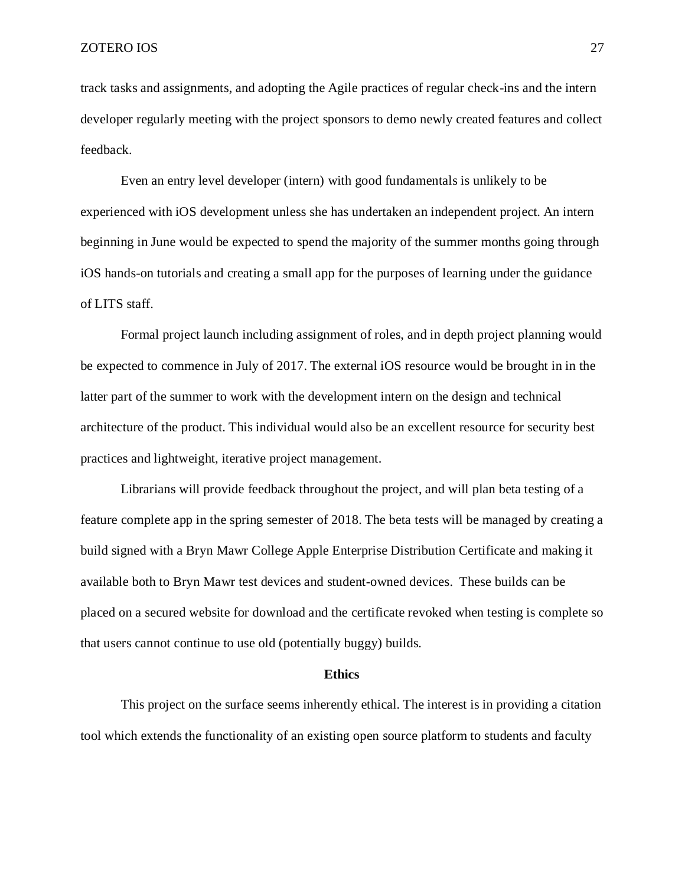track tasks and assignments, and adopting the Agile practices of regular check-ins and the intern developer regularly meeting with the project sponsors to demo newly created features and collect feedback.

Even an entry level developer (intern) with good fundamentals is unlikely to be experienced with iOS development unless she has undertaken an independent project. An intern beginning in June would be expected to spend the majority of the summer months going through iOS hands-on tutorials and creating a small app for the purposes of learning under the guidance of LITS staff.

Formal project launch including assignment of roles, and in depth project planning would be expected to commence in July of 2017. The external iOS resource would be brought in in the latter part of the summer to work with the development intern on the design and technical architecture of the product. This individual would also be an excellent resource for security best practices and lightweight, iterative project management.

Librarians will provide feedback throughout the project, and will plan beta testing of a feature complete app in the spring semester of 2018. The beta tests will be managed by creating a build signed with a Bryn Mawr College Apple Enterprise Distribution Certificate and making it available both to Bryn Mawr test devices and student-owned devices. These builds can be placed on a secured website for download and the certificate revoked when testing is complete so that users cannot continue to use old (potentially buggy) builds.

#### **Ethics**

<span id="page-26-0"></span>This project on the surface seems inherently ethical. The interest is in providing a citation tool which extends the functionality of an existing open source platform to students and faculty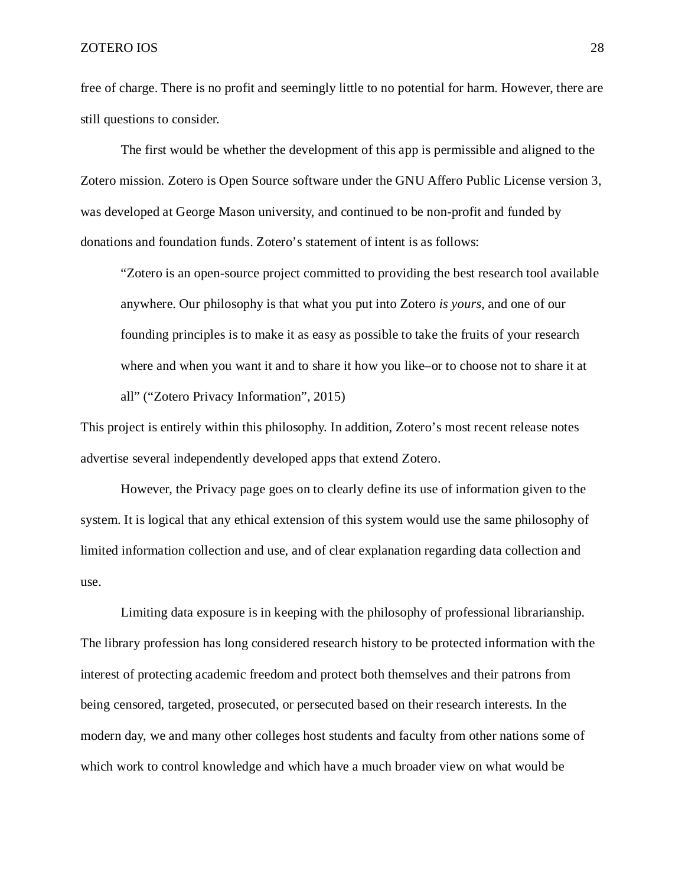free of charge. There is no profit and seemingly little to no potential for harm. However, there are still questions to consider.

The first would be whether the development of this app is permissible and aligned to the Zotero mission. Zotero is Open Source software under the GNU Affero Public License version 3, was developed at George Mason university, and continued to be non-profit and funded by donations and foundation funds. Zotero's statement of intent is as follows:

"Zotero is an open-source project committed to providing the best research tool available anywhere. Our philosophy is that what you put into Zotero *is yours*, and one of our founding principles is to make it as easy as possible to take the fruits of your research where and when you want it and to share it how you like–or to choose not to share it at all" ("Zotero Privacy Information", 2015)

This project is entirely within this philosophy. In addition, Zotero's most recent release notes advertise several independently developed apps that extend Zotero.

However, the Privacy page goes on to clearly define its use of information given to the system. It is logical that any ethical extension of this system would use the same philosophy of limited information collection and use, and of clear explanation regarding data collection and use.

Limiting data exposure is in keeping with the philosophy of professional librarianship. The library profession has long considered research history to be protected information with the interest of protecting academic freedom and protect both themselves and their patrons from being censored, targeted, prosecuted, or persecuted based on their research interests. In the modern day, we and many other colleges host students and faculty from other nations some of which work to control knowledge and which have a much broader view on what would be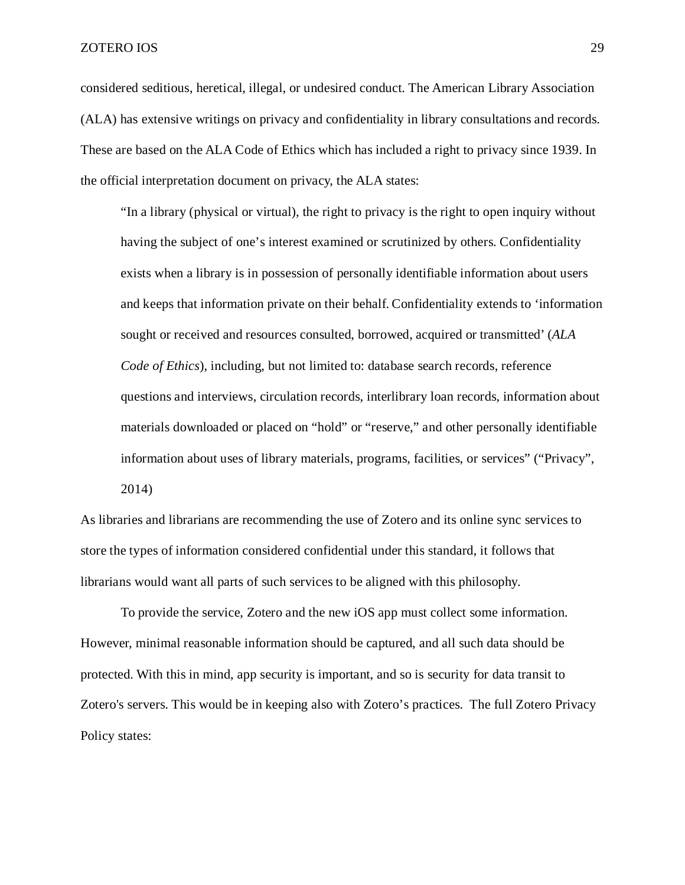considered seditious, heretical, illegal, or undesired conduct. The American Library Association (ALA) has extensive writings on privacy and confidentiality in library consultations and records. These are based on the ALA Code of Ethics which has included a right to privacy since 1939. In the official interpretation document on privacy, the ALA states:

"In a library (physical or virtual), the right to privacy is the right to open inquiry without having the subject of one's interest examined or scrutinized by others. Confidentiality exists when a library is in possession of personally identifiable information about users and keeps that information private on their behalf. Confidentiality extends to 'information sought or received and resources consulted, borrowed, acquired or transmitted' (*ALA Code of Ethics*), including, but not limited to: database search records, reference questions and interviews, circulation records, interlibrary loan records, information about materials downloaded or placed on "hold" or "reserve," and other personally identifiable information about uses of library materials, programs, facilities, or services" ("Privacy", 2014)

As libraries and librarians are recommending the use of Zotero and its online sync services to store the types of information considered confidential under this standard, it follows that librarians would want all parts of such services to be aligned with this philosophy.

To provide the service, Zotero and the new iOS app must collect some information. However, minimal reasonable information should be captured, and all such data should be protected. With this in mind, app security is important, and so is security for data transit to Zotero's servers. This would be in keeping also with Zotero's practices. The full Zotero Privacy Policy states: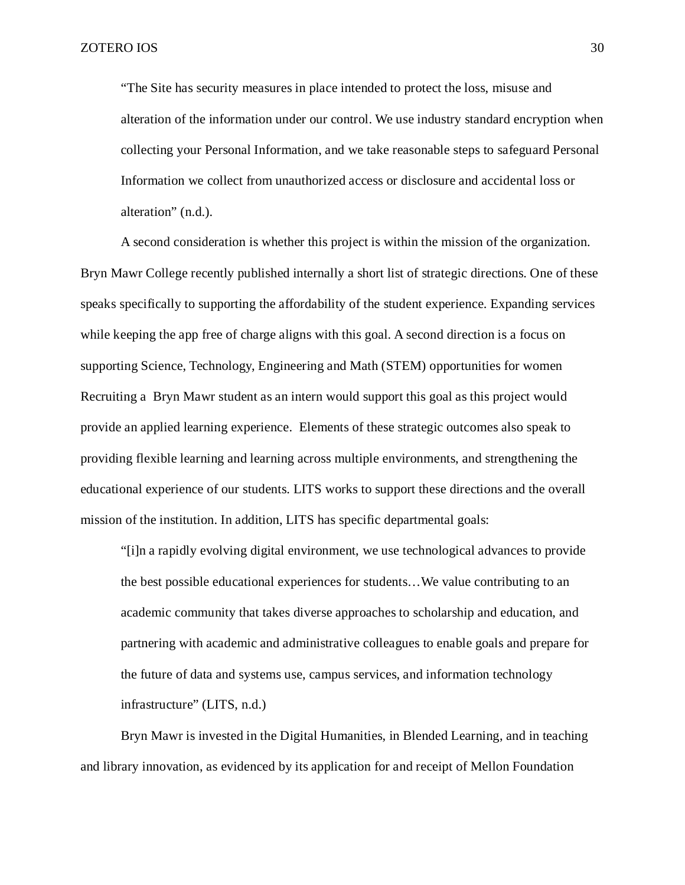"The Site has security measures in place intended to protect the loss, misuse and alteration of the information under our control. We use industry standard encryption when collecting your Personal Information, and we take reasonable steps to safeguard Personal Information we collect from unauthorized access or disclosure and accidental loss or alteration" (n.d.).

A second consideration is whether this project is within the mission of the organization. Bryn Mawr College recently published internally a short list of strategic directions. One of these speaks specifically to supporting the affordability of the student experience. Expanding services while keeping the app free of charge aligns with this goal. A second direction is a focus on supporting Science, Technology, Engineering and Math (STEM) opportunities for women Recruiting a Bryn Mawr student as an intern would support this goal as this project would provide an applied learning experience. Elements of these strategic outcomes also speak to providing flexible learning and learning across multiple environments, and strengthening the educational experience of our students. LITS works to support these directions and the overall mission of the institution. In addition, LITS has specific departmental goals:

"[i]n a rapidly evolving digital environment, we use technological advances to provide the best possible educational experiences for students…We value contributing to an academic community that takes diverse approaches to scholarship and education, and partnering with academic and administrative colleagues to enable goals and prepare for the future of data and systems use, campus services, and information technology infrastructure" (LITS, n.d.)

Bryn Mawr is invested in the Digital Humanities, in Blended Learning, and in teaching and library innovation, as evidenced by its application for and receipt of Mellon Foundation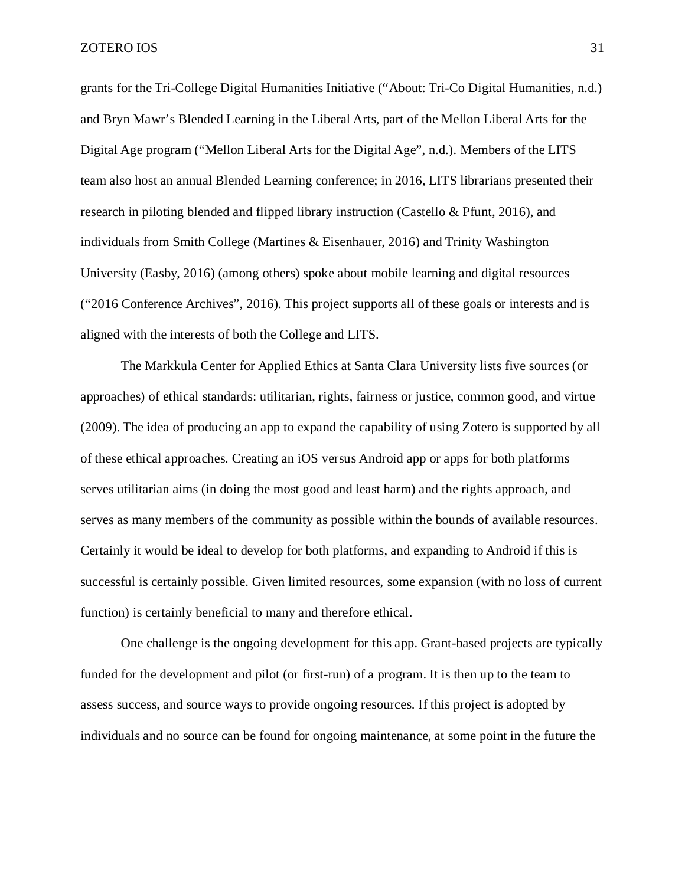grants for the Tri-College Digital Humanities Initiative ("About: Tri-Co Digital Humanities, n.d.) and Bryn Mawr's Blended Learning in the Liberal Arts, part of the Mellon Liberal Arts for the Digital Age program ("Mellon Liberal Arts for the Digital Age", n.d.). Members of the LITS team also host an annual Blended Learning conference; in 2016, LITS librarians presented their research in piloting blended and flipped library instruction (Castello & Pfunt, 2016), and individuals from Smith College (Martines & Eisenhauer, 2016) and Trinity Washington University (Easby, 2016) (among others) spoke about mobile learning and digital resources ("2016 Conference Archives", 2016). This project supports all of these goals or interests and is aligned with the interests of both the College and LITS.

The Markkula Center for Applied Ethics at Santa Clara University lists five sources (or approaches) of ethical standards: utilitarian, rights, fairness or justice, common good, and virtue (2009). The idea of producing an app to expand the capability of using Zotero is supported by all of these ethical approaches. Creating an iOS versus Android app or apps for both platforms serves utilitarian aims (in doing the most good and least harm) and the rights approach, and serves as many members of the community as possible within the bounds of available resources. Certainly it would be ideal to develop for both platforms, and expanding to Android if this is successful is certainly possible. Given limited resources, some expansion (with no loss of current function) is certainly beneficial to many and therefore ethical.

One challenge is the ongoing development for this app. Grant-based projects are typically funded for the development and pilot (or first-run) of a program. It is then up to the team to assess success, and source ways to provide ongoing resources. If this project is adopted by individuals and no source can be found for ongoing maintenance, at some point in the future the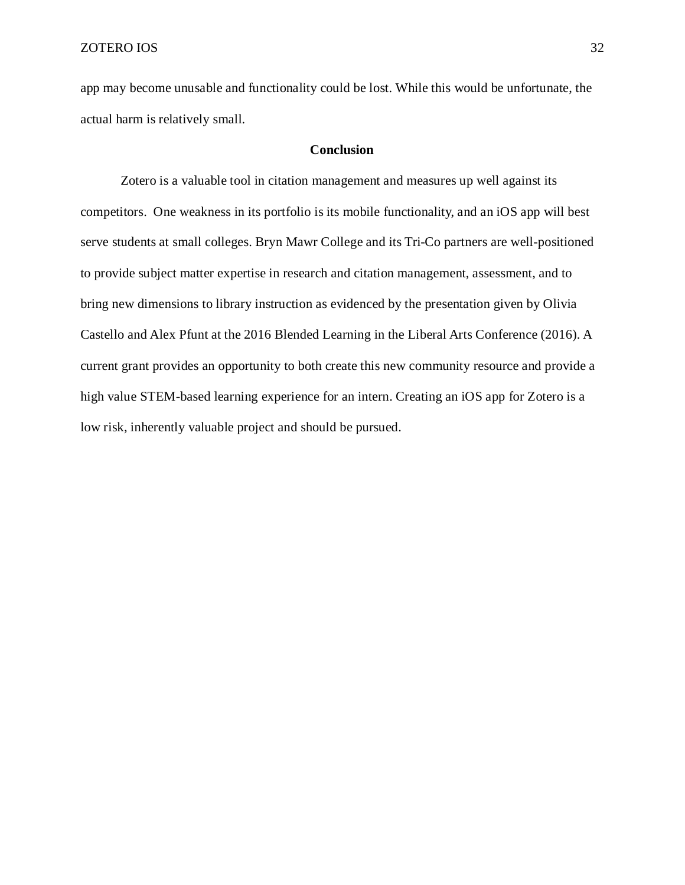app may become unusable and functionality could be lost. While this would be unfortunate, the actual harm is relatively small.

# **Conclusion**

<span id="page-31-0"></span>Zotero is a valuable tool in citation management and measures up well against its competitors. One weakness in its portfolio is its mobile functionality, and an iOS app will best serve students at small colleges. Bryn Mawr College and its Tri-Co partners are well-positioned to provide subject matter expertise in research and citation management, assessment, and to bring new dimensions to library instruction as evidenced by the presentation given by Olivia Castello and Alex Pfunt at the 2016 Blended Learning in the Liberal Arts Conference (2016). A current grant provides an opportunity to both create this new community resource and provide a high value STEM-based learning experience for an intern. Creating an iOS app for Zotero is a low risk, inherently valuable project and should be pursued.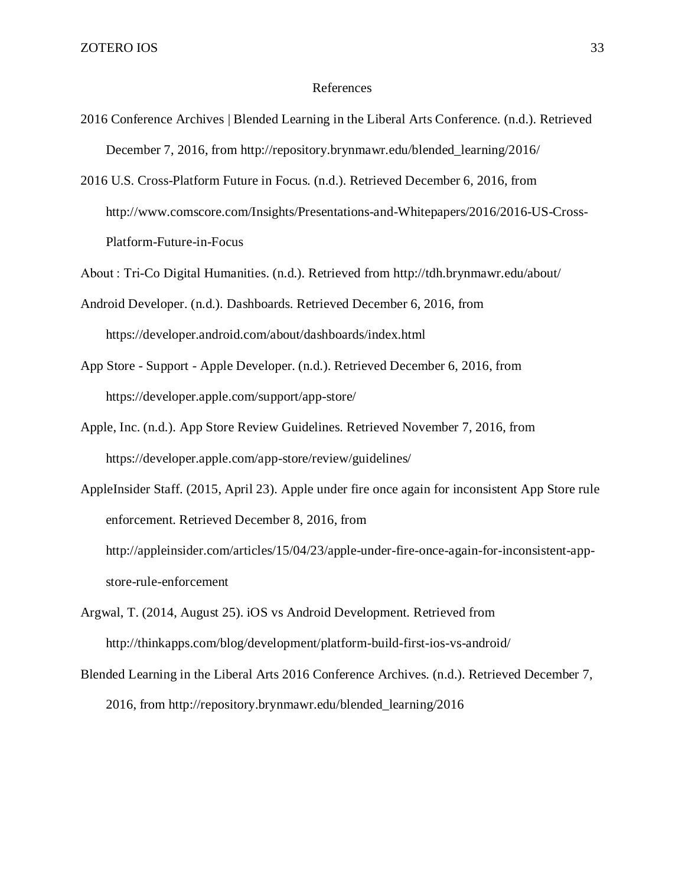#### References

- <span id="page-32-0"></span>2016 Conference Archives | Blended Learning in the Liberal Arts Conference. (n.d.). Retrieved December 7, 2016, from http://repository.brynmawr.edu/blended\_learning/2016/
- 2016 U.S. Cross-Platform Future in Focus. (n.d.). Retrieved December 6, 2016, from http://www.comscore.com/Insights/Presentations-and-Whitepapers/2016/2016-US-Cross-Platform-Future-in-Focus

About : Tri-Co Digital Humanities. (n.d.). Retrieved from http://tdh.brynmawr.edu/about/

- Android Developer. (n.d.). Dashboards. Retrieved December 6, 2016, from https://developer.android.com/about/dashboards/index.html
- App Store Support Apple Developer. (n.d.). Retrieved December 6, 2016, from https://developer.apple.com/support/app-store/
- Apple, Inc. (n.d.). App Store Review Guidelines. Retrieved November 7, 2016, from https://developer.apple.com/app-store/review/guidelines/

AppleInsider Staff. (2015, April 23). Apple under fire once again for inconsistent App Store rule enforcement. Retrieved December 8, 2016, from http://appleinsider.com/articles/15/04/23/apple-under-fire-once-again-for-inconsistent-appstore-rule-enforcement

- Argwal, T. (2014, August 25). iOS vs Android Development. Retrieved from http://thinkapps.com/blog/development/platform-build-first-ios-vs-android/
- Blended Learning in the Liberal Arts 2016 Conference Archives. (n.d.). Retrieved December 7, 2016, from http://repository.brynmawr.edu/blended\_learning/2016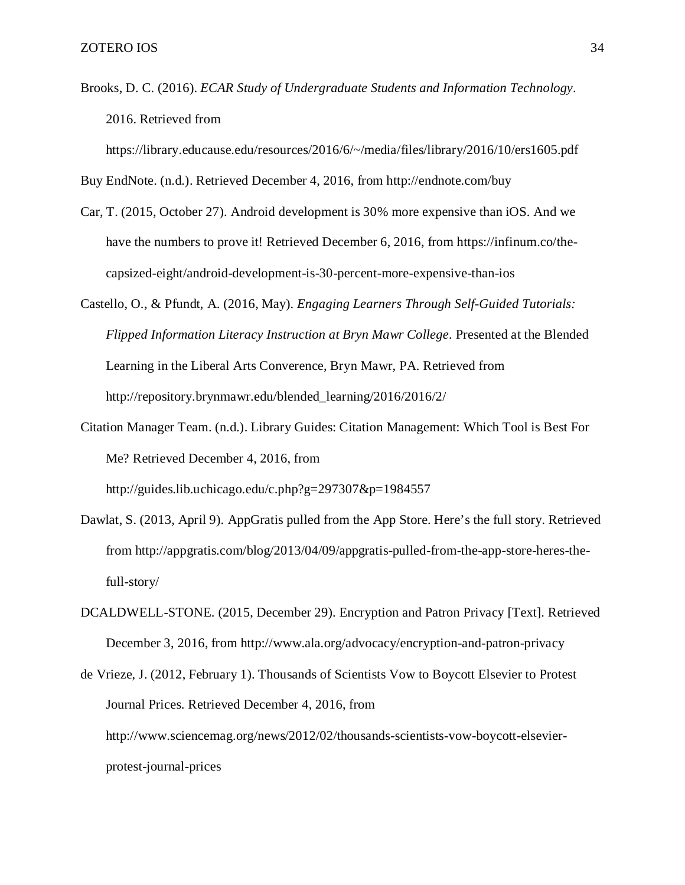Brooks, D. C. (2016). *ECAR Study of Undergraduate Students and Information Technology*. 2016. Retrieved from

https://library.educause.edu/resources/2016/6/~/media/files/library/2016/10/ers1605.pdf

Buy EndNote. (n.d.). Retrieved December 4, 2016, from http://endnote.com/buy

- Car, T. (2015, October 27). Android development is 30% more expensive than iOS. And we have the numbers to prove it! Retrieved December 6, 2016, from https://infinum.co/thecapsized-eight/android-development-is-30-percent-more-expensive-than-ios
- Castello, O., & Pfundt, A. (2016, May). *Engaging Learners Through Self-Guided Tutorials: Flipped Information Literacy Instruction at Bryn Mawr College*. Presented at the Blended Learning in the Liberal Arts Converence, Bryn Mawr, PA. Retrieved from http://repository.brynmawr.edu/blended\_learning/2016/2016/2/
- Citation Manager Team. (n.d.). Library Guides: Citation Management: Which Tool is Best For Me? Retrieved December 4, 2016, from http://guides.lib.uchicago.edu/c.php?g=297307&p=1984557
- Dawlat, S. (2013, April 9). AppGratis pulled from the App Store. Here's the full story. Retrieved from http://appgratis.com/blog/2013/04/09/appgratis-pulled-from-the-app-store-heres-thefull-story/
- DCALDWELL-STONE. (2015, December 29). Encryption and Patron Privacy [Text]. Retrieved December 3, 2016, from http://www.ala.org/advocacy/encryption-and-patron-privacy
- de Vrieze, J. (2012, February 1). Thousands of Scientists Vow to Boycott Elsevier to Protest Journal Prices. Retrieved December 4, 2016, from http://www.sciencemag.org/news/2012/02/thousands-scientists-vow-boycott-elsevierprotest-journal-prices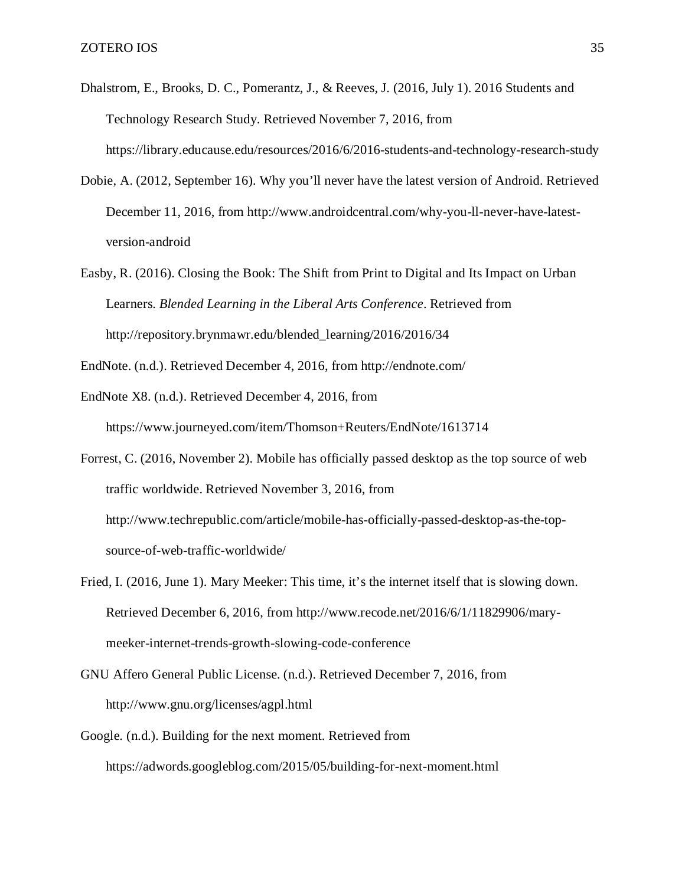- Dhalstrom, E., Brooks, D. C., Pomerantz, J., & Reeves, J. (2016, July 1). 2016 Students and Technology Research Study. Retrieved November 7, 2016, from https://library.educause.edu/resources/2016/6/2016-students-and-technology-research-study
- Dobie, A. (2012, September 16). Why you'll never have the latest version of Android. Retrieved December 11, 2016, from http://www.androidcentral.com/why-you-ll-never-have-latestversion-android
- Easby, R. (2016). Closing the Book: The Shift from Print to Digital and Its Impact on Urban Learners. *Blended Learning in the Liberal Arts Conference*. Retrieved from http://repository.brynmawr.edu/blended\_learning/2016/2016/34
- EndNote. (n.d.). Retrieved December 4, 2016, from http://endnote.com/
- EndNote X8. (n.d.). Retrieved December 4, 2016, from https://www.journeyed.com/item/Thomson+Reuters/EndNote/1613714
- Forrest, C. (2016, November 2). Mobile has officially passed desktop as the top source of web traffic worldwide. Retrieved November 3, 2016, from http://www.techrepublic.com/article/mobile-has-officially-passed-desktop-as-the-topsource-of-web-traffic-worldwide/
- Fried, I. (2016, June 1). Mary Meeker: This time, it's the internet itself that is slowing down. Retrieved December 6, 2016, from http://www.recode.net/2016/6/1/11829906/marymeeker-internet-trends-growth-slowing-code-conference
- GNU Affero General Public License. (n.d.). Retrieved December 7, 2016, from http://www.gnu.org/licenses/agpl.html
- Google. (n.d.). Building for the next moment. Retrieved from https://adwords.googleblog.com/2015/05/building-for-next-moment.html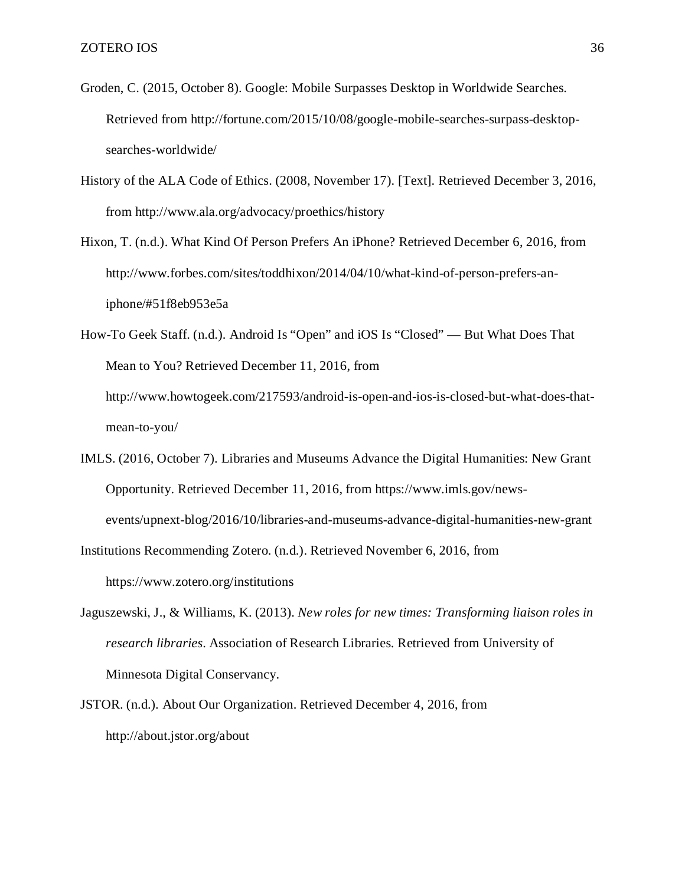- Groden, C. (2015, October 8). Google: Mobile Surpasses Desktop in Worldwide Searches. Retrieved from http://fortune.com/2015/10/08/google-mobile-searches-surpass-desktopsearches-worldwide/
- History of the ALA Code of Ethics. (2008, November 17). [Text]. Retrieved December 3, 2016, from http://www.ala.org/advocacy/proethics/history
- Hixon, T. (n.d.). What Kind Of Person Prefers An iPhone? Retrieved December 6, 2016, from http://www.forbes.com/sites/toddhixon/2014/04/10/what-kind-of-person-prefers-aniphone/#51f8eb953e5a
- How-To Geek Staff. (n.d.). Android Is "Open" and iOS Is "Closed" But What Does That Mean to You? Retrieved December 11, 2016, from http://www.howtogeek.com/217593/android-is-open-and-ios-is-closed-but-what-does-thatmean-to-you/
- IMLS. (2016, October 7). Libraries and Museums Advance the Digital Humanities: New Grant Opportunity. Retrieved December 11, 2016, from https://www.imls.gov/newsevents/upnext-blog/2016/10/libraries-and-museums-advance-digital-humanities-new-grant
- Institutions Recommending Zotero. (n.d.). Retrieved November 6, 2016, from https://www.zotero.org/institutions
- Jaguszewski, J., & Williams, K. (2013). *New roles for new times: Transforming liaison roles in research libraries*. Association of Research Libraries. Retrieved from University of Minnesota Digital Conservancy.
- JSTOR. (n.d.). About Our Organization. Retrieved December 4, 2016, from http://about.jstor.org/about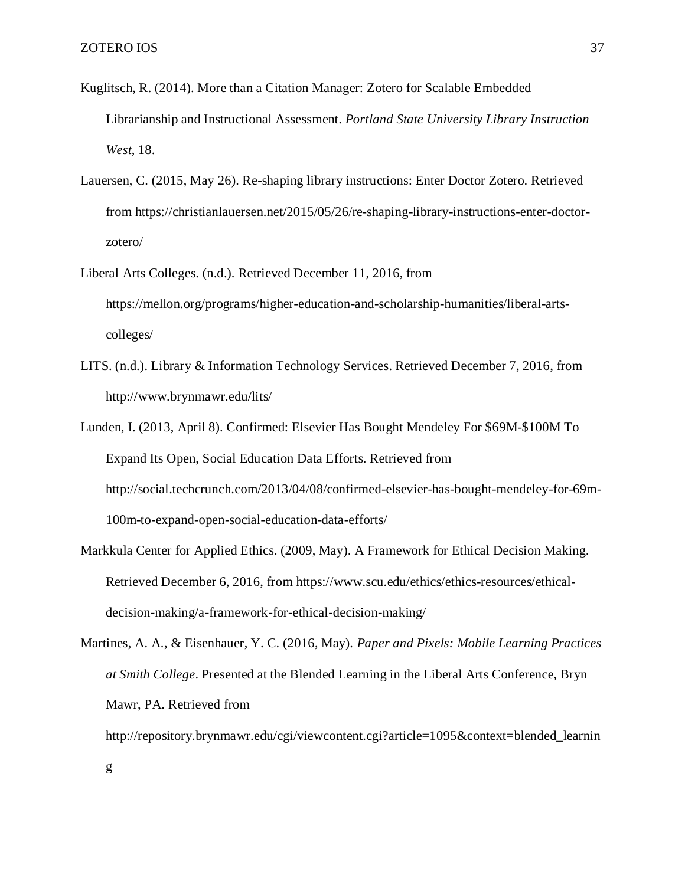g

- Kuglitsch, R. (2014). More than a Citation Manager: Zotero for Scalable Embedded Librarianship and Instructional Assessment. *Portland State University Library Instruction West*, 18.
- Lauersen, C. (2015, May 26). Re-shaping library instructions: Enter Doctor Zotero. Retrieved from https://christianlauersen.net/2015/05/26/re-shaping-library-instructions-enter-doctorzotero/
- Liberal Arts Colleges. (n.d.). Retrieved December 11, 2016, from https://mellon.org/programs/higher-education-and-scholarship-humanities/liberal-artscolleges/
- LITS. (n.d.). Library & Information Technology Services. Retrieved December 7, 2016, from http://www.brynmawr.edu/lits/
- Lunden, I. (2013, April 8). Confirmed: Elsevier Has Bought Mendeley For \$69M-\$100M To Expand Its Open, Social Education Data Efforts. Retrieved from http://social.techcrunch.com/2013/04/08/confirmed-elsevier-has-bought-mendeley-for-69m-100m-to-expand-open-social-education-data-efforts/
- Markkula Center for Applied Ethics. (2009, May). A Framework for Ethical Decision Making. Retrieved December 6, 2016, from https://www.scu.edu/ethics/ethics-resources/ethicaldecision-making/a-framework-for-ethical-decision-making/
- Martines, A. A., & Eisenhauer, Y. C. (2016, May). *Paper and Pixels: Mobile Learning Practices at Smith College*. Presented at the Blended Learning in the Liberal Arts Conference, Bryn Mawr, PA. Retrieved from
	- http://repository.brynmawr.edu/cgi/viewcontent.cgi?article=1095&context=blended\_learnin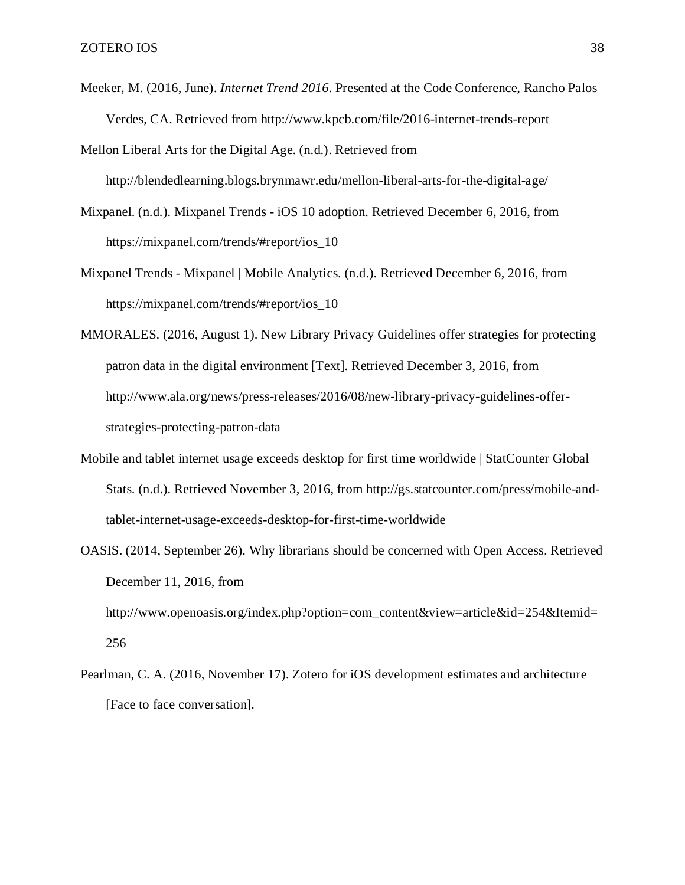Meeker, M. (2016, June). *Internet Trend 2016*. Presented at the Code Conference, Rancho Palos Verdes, CA. Retrieved from http://www.kpcb.com/file/2016-internet-trends-report

Mellon Liberal Arts for the Digital Age. (n.d.). Retrieved from http://blendedlearning.blogs.brynmawr.edu/mellon-liberal-arts-for-the-digital-age/

- Mixpanel. (n.d.). Mixpanel Trends iOS 10 adoption. Retrieved December 6, 2016, from https://mixpanel.com/trends/#report/ios\_10
- Mixpanel Trends Mixpanel | Mobile Analytics. (n.d.). Retrieved December 6, 2016, from https://mixpanel.com/trends/#report/ios\_10
- MMORALES. (2016, August 1). New Library Privacy Guidelines offer strategies for protecting patron data in the digital environment [Text]. Retrieved December 3, 2016, from http://www.ala.org/news/press-releases/2016/08/new-library-privacy-guidelines-offerstrategies-protecting-patron-data
- Mobile and tablet internet usage exceeds desktop for first time worldwide | StatCounter Global Stats. (n.d.). Retrieved November 3, 2016, from http://gs.statcounter.com/press/mobile-andtablet-internet-usage-exceeds-desktop-for-first-time-worldwide
- OASIS. (2014, September 26). Why librarians should be concerned with Open Access. Retrieved December 11, 2016, from http://www.openoasis.org/index.php?option=com\_content&view=article&id=254&Itemid= 256
- Pearlman, C. A. (2016, November 17). Zotero for iOS development estimates and architecture [Face to face conversation].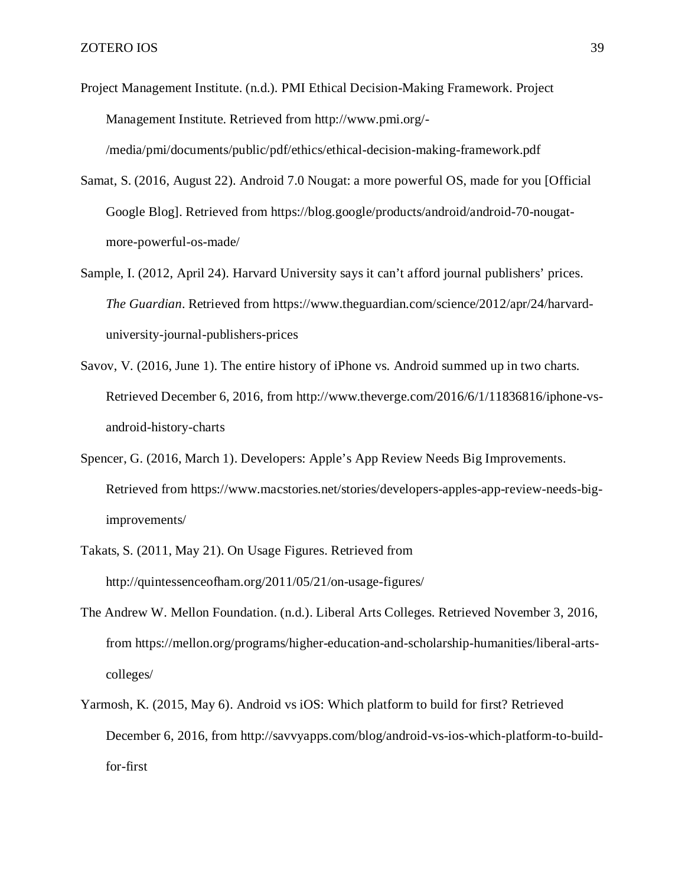Project Management Institute. (n.d.). PMI Ethical Decision-Making Framework. Project Management Institute. Retrieved from http://www.pmi.org/-

/media/pmi/documents/public/pdf/ethics/ethical-decision-making-framework.pdf

Samat, S. (2016, August 22). Android 7.0 Nougat: a more powerful OS, made for you [Official Google Blog]. Retrieved from https://blog.google/products/android/android-70-nougatmore-powerful-os-made/

- Sample, I. (2012, April 24). Harvard University says it can't afford journal publishers' prices. *The Guardian*. Retrieved from https://www.theguardian.com/science/2012/apr/24/harvarduniversity-journal-publishers-prices
- Savov, V. (2016, June 1). The entire history of iPhone vs. Android summed up in two charts. Retrieved December 6, 2016, from http://www.theverge.com/2016/6/1/11836816/iphone-vsandroid-history-charts
- Spencer, G. (2016, March 1). Developers: Apple's App Review Needs Big Improvements. Retrieved from https://www.macstories.net/stories/developers-apples-app-review-needs-bigimprovements/
- Takats, S. (2011, May 21). On Usage Figures. Retrieved from http://quintessenceofham.org/2011/05/21/on-usage-figures/
- The Andrew W. Mellon Foundation. (n.d.). Liberal Arts Colleges. Retrieved November 3, 2016, from https://mellon.org/programs/higher-education-and-scholarship-humanities/liberal-artscolleges/
- Yarmosh, K. (2015, May 6). Android vs iOS: Which platform to build for first? Retrieved December 6, 2016, from http://savvyapps.com/blog/android-vs-ios-which-platform-to-buildfor-first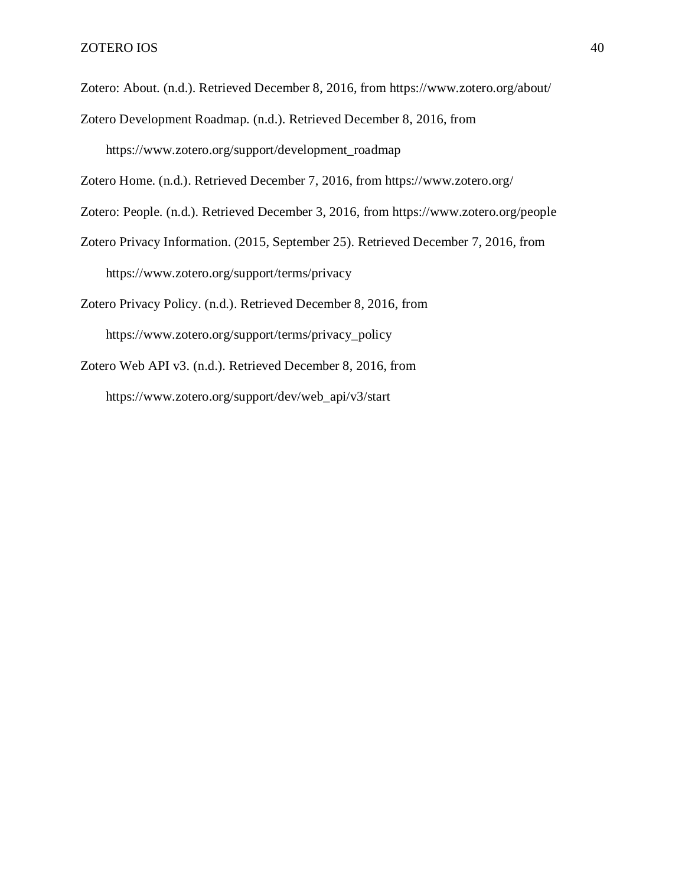Zotero: About. (n.d.). Retrieved December 8, 2016, from https://www.zotero.org/about/

Zotero Development Roadmap. (n.d.). Retrieved December 8, 2016, from https://www.zotero.org/support/development\_roadmap

Zotero Home. (n.d.). Retrieved December 7, 2016, from https://www.zotero.org/

Zotero: People. (n.d.). Retrieved December 3, 2016, from https://www.zotero.org/people

Zotero Privacy Information. (2015, September 25). Retrieved December 7, 2016, from https://www.zotero.org/support/terms/privacy

Zotero Privacy Policy. (n.d.). Retrieved December 8, 2016, from https://www.zotero.org/support/terms/privacy\_policy

Zotero Web API v3. (n.d.). Retrieved December 8, 2016, from https://www.zotero.org/support/dev/web\_api/v3/start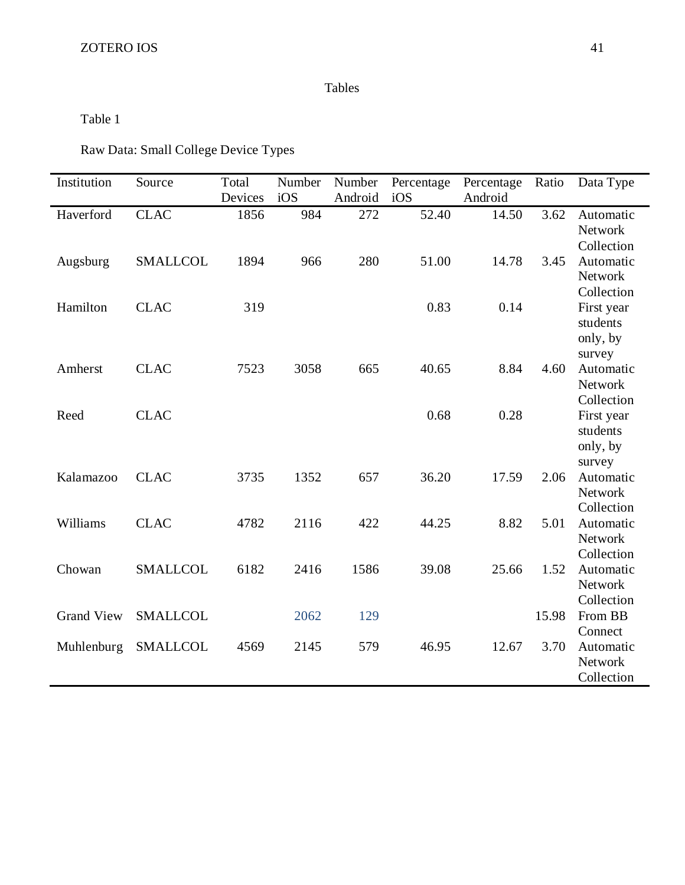# Tables

<span id="page-40-0"></span>Table 1

Raw Data: Small College Device Types

| Institution       | Source          | Total   | Number | Number  | Percentage | Percentage | Ratio | Data Type           |
|-------------------|-----------------|---------|--------|---------|------------|------------|-------|---------------------|
|                   |                 | Devices | iOS    | Android | iOS        | Android    |       |                     |
| Haverford         | <b>CLAC</b>     | 1856    | 984    | 272     | 52.40      | 14.50      | 3.62  | Automatic           |
|                   |                 |         |        |         |            |            |       | Network             |
|                   |                 |         |        |         |            |            |       | Collection          |
| Augsburg          | <b>SMALLCOL</b> | 1894    | 966    | 280     | 51.00      | 14.78      | 3.45  | Automatic           |
|                   |                 |         |        |         |            |            |       | Network             |
|                   |                 |         |        |         |            |            |       | Collection          |
| Hamilton          | <b>CLAC</b>     | 319     |        |         | 0.83       | 0.14       |       | First year          |
|                   |                 |         |        |         |            |            |       | students            |
|                   |                 |         |        |         |            |            |       | only, by            |
|                   |                 |         |        |         |            |            |       | survey              |
| Amherst           | <b>CLAC</b>     | 7523    | 3058   | 665     | 40.65      | 8.84       | 4.60  | Automatic           |
|                   |                 |         |        |         |            |            |       | Network             |
|                   |                 |         |        |         |            |            |       | Collection          |
| Reed              | <b>CLAC</b>     |         |        |         | 0.68       | 0.28       |       | First year          |
|                   |                 |         |        |         |            |            |       | students            |
|                   |                 |         |        |         |            |            |       | only, by            |
| Kalamazoo         | <b>CLAC</b>     | 3735    | 1352   | 657     | 36.20      | 17.59      | 2.06  | survey<br>Automatic |
|                   |                 |         |        |         |            |            |       | Network             |
|                   |                 |         |        |         |            |            |       | Collection          |
| Williams          | <b>CLAC</b>     | 4782    | 2116   | 422     | 44.25      | 8.82       | 5.01  | Automatic           |
|                   |                 |         |        |         |            |            |       | Network             |
|                   |                 |         |        |         |            |            |       | Collection          |
| Chowan            | <b>SMALLCOL</b> | 6182    | 2416   | 1586    | 39.08      | 25.66      | 1.52  | Automatic           |
|                   |                 |         |        |         |            |            |       | Network             |
|                   |                 |         |        |         |            |            |       | Collection          |
| <b>Grand View</b> | <b>SMALLCOL</b> |         | 2062   | 129     |            |            | 15.98 | From BB             |
|                   |                 |         |        |         |            |            |       | Connect             |
| Muhlenburg        | <b>SMALLCOL</b> | 4569    | 2145   | 579     | 46.95      | 12.67      | 3.70  | Automatic           |
|                   |                 |         |        |         |            |            |       | Network             |
|                   |                 |         |        |         |            |            |       | Collection          |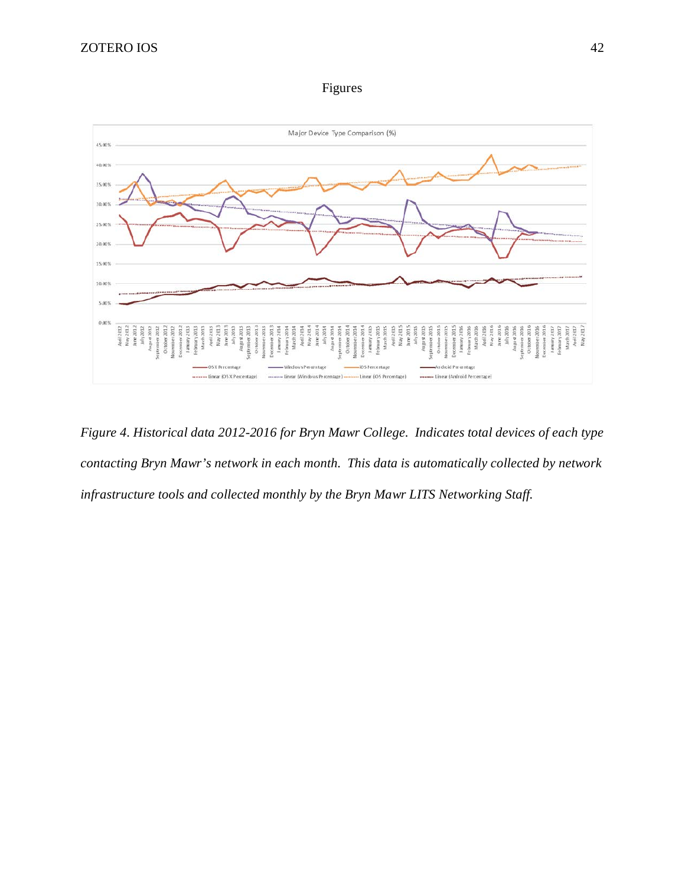Figures

<span id="page-41-0"></span>

*Figure 4. Historical data 2012-2016 for Bryn Mawr College. Indicates total devices of each type contacting Bryn Mawr's network in each month. This data is automatically collected by network infrastructure tools and collected monthly by the Bryn Mawr LITS Networking Staff.*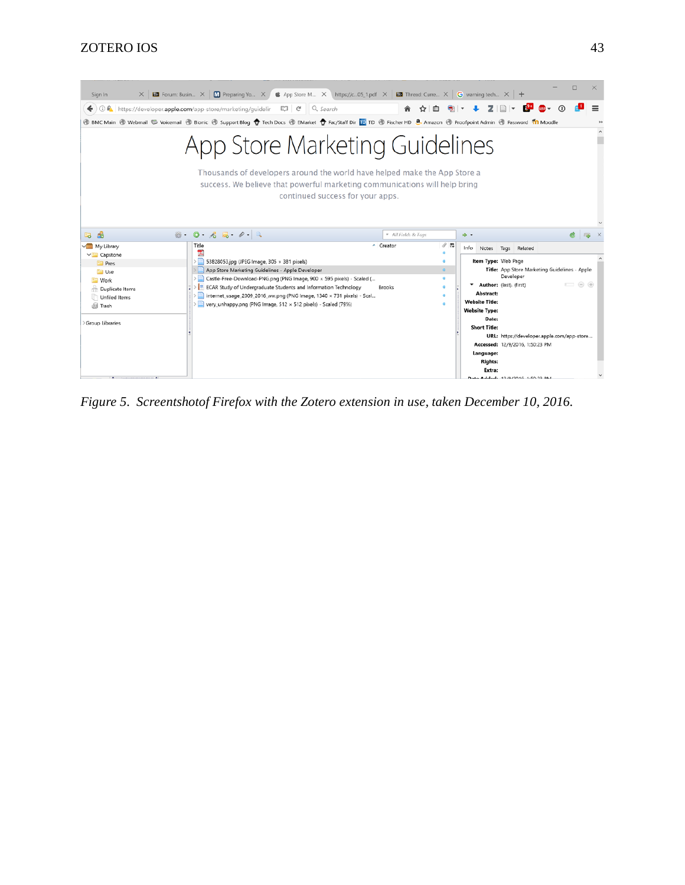

*Figure 5. Screentshotof Firefox with the Zotero extension in use, taken December 10, 2016.*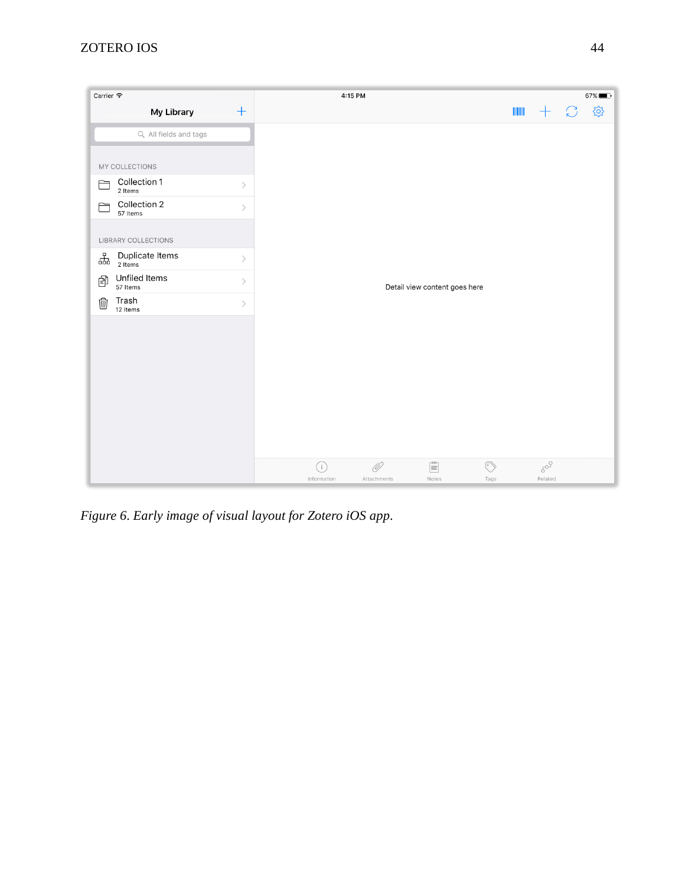

*Figure 6. Early image of visual layout for Zotero iOS app.*